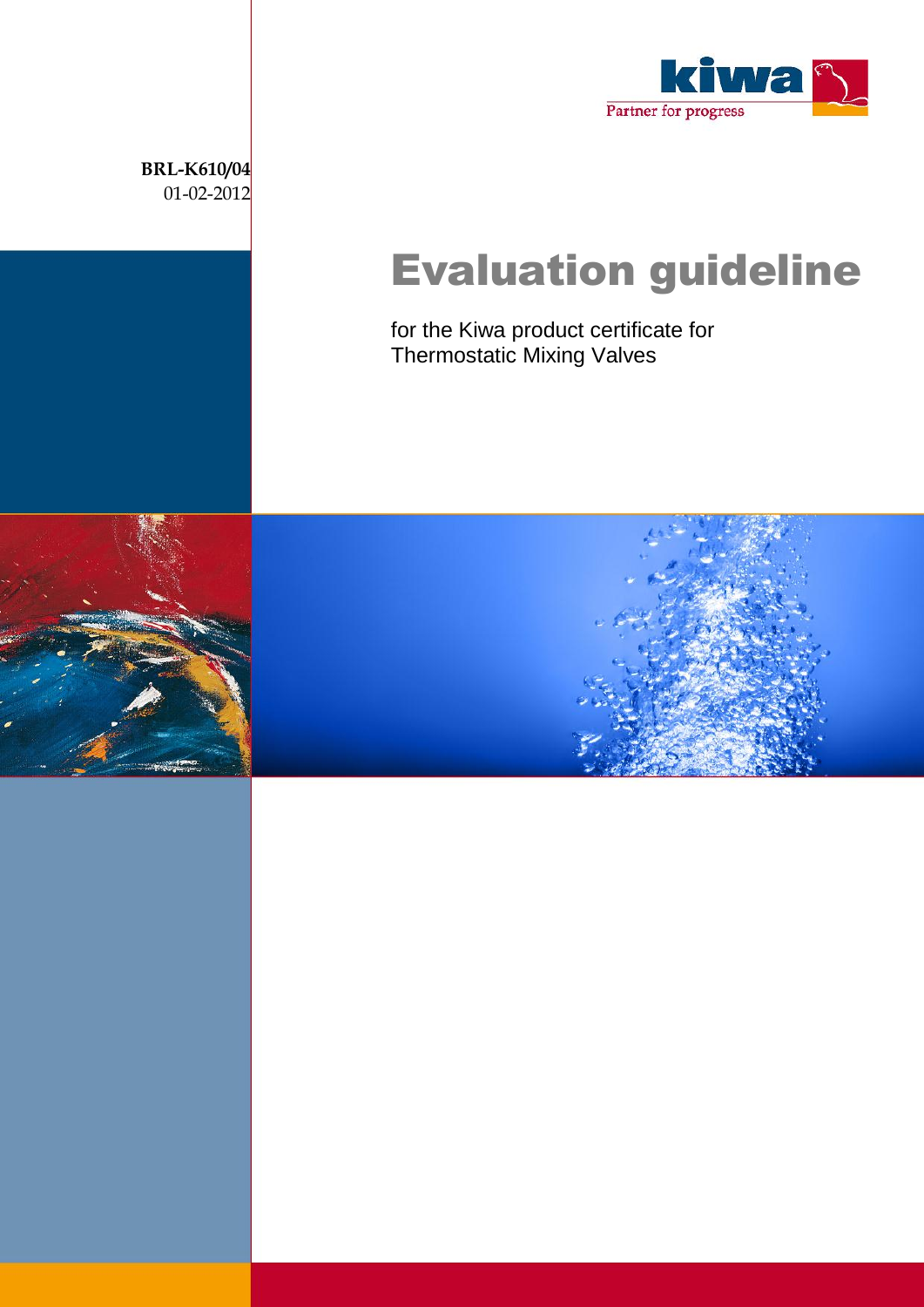

Evaluation guideline

for the Kiwa product certificate for Thermostatic Mixing Valves

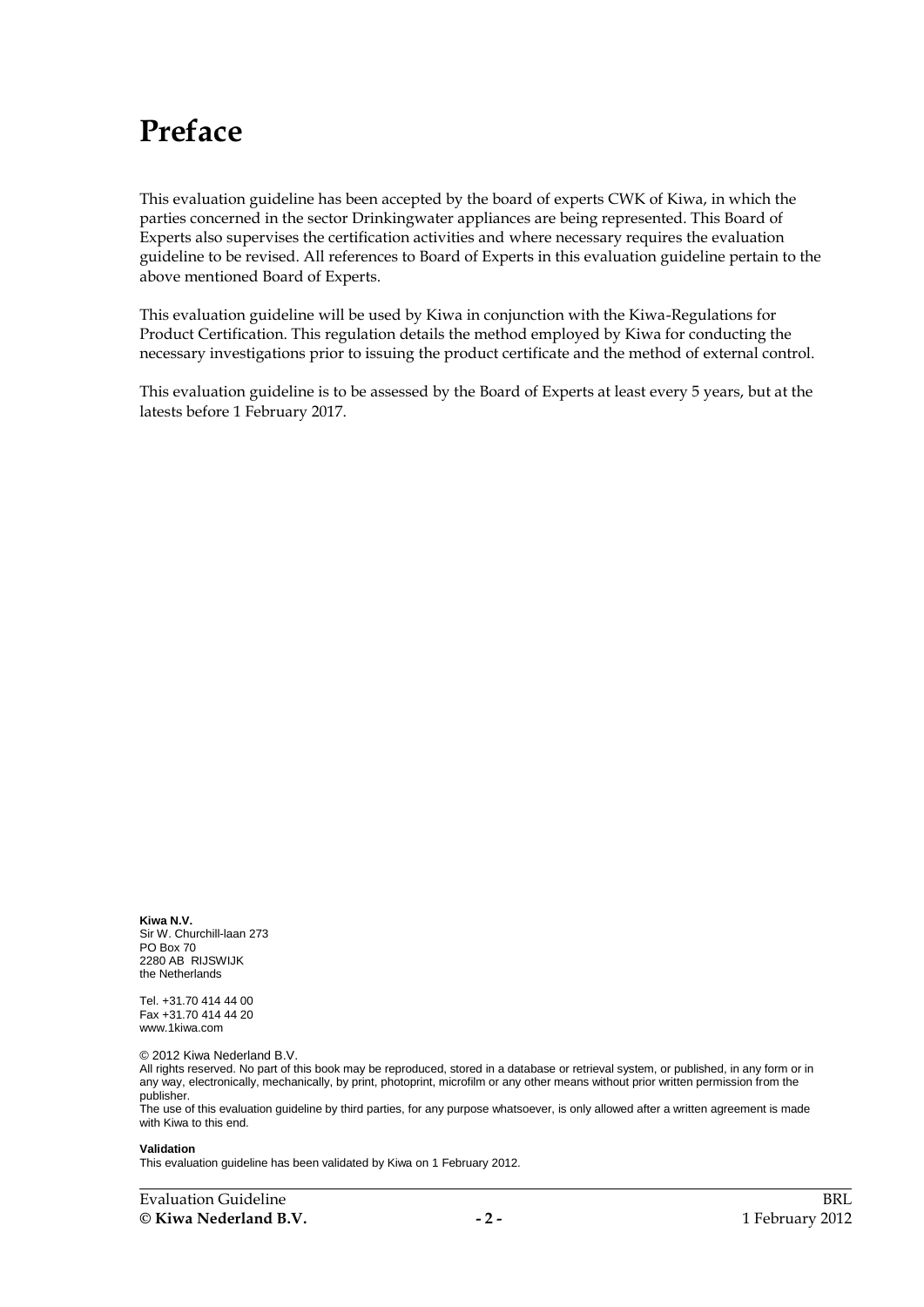# **Preface**

This evaluation guideline has been accepted by the board of experts CWK of Kiwa, in which the parties concerned in the sector Drinkingwater appliances are being represented. This Board of Experts also supervises the certification activities and where necessary requires the evaluation guideline to be revised. All references to Board of Experts in this evaluation guideline pertain to the above mentioned Board of Experts.

This evaluation guideline will be used by Kiwa in conjunction with the Kiwa-Regulations for Product Certification. This regulation details the method employed by Kiwa for conducting the necessary investigations prior to issuing the product certificate and the method of external control.

This evaluation guideline is to be assessed by the Board of Experts at least every 5 years, but at the latests before 1 February 2017.

**Kiwa N.V.** Sir W. Churchill-laan 273 PO Box 70 2280 AB RIJSWIJK the Netherlands

Tel. +31.70 414 44 00 Fax +31.70 414 44 20 www.1kiwa.com

© 2012 Kiwa Nederland B.V.

All rights reserved. No part of this book may be reproduced, stored in a database or retrieval system, or published, in any form or in any way, electronically, mechanically, by print, photoprint, microfilm or any other means without prior written permission from the publisher.

The use of this evaluation guideline by third parties, for any purpose whatsoever, is only allowed after a written agreement is made with Kiwa to this end.

#### **Validation**

This evaluation guideline has been validated by Kiwa on 1 February 2012.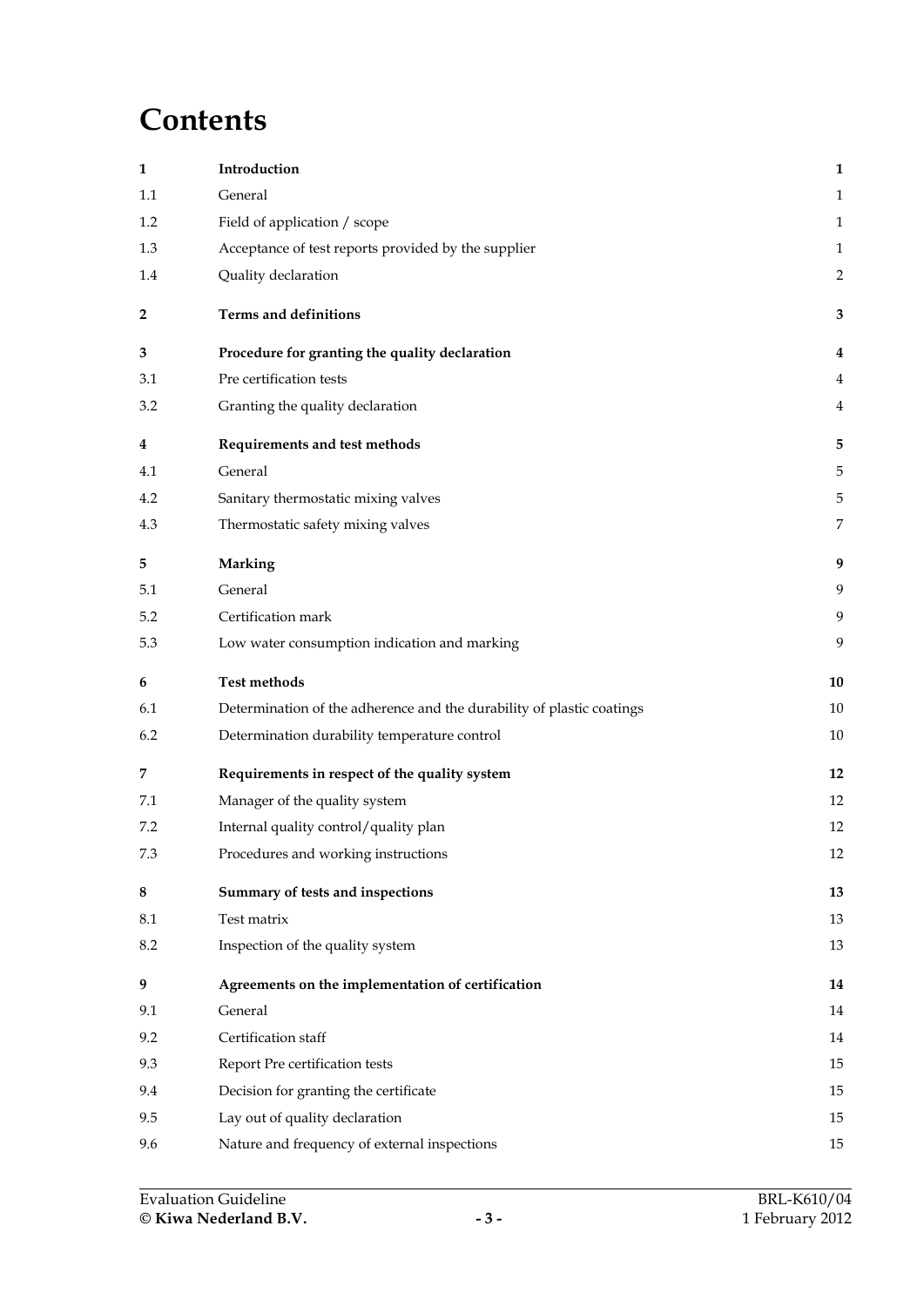# **Contents**

| 1       | Introduction                                                          | $\mathbf{1}$   |
|---------|-----------------------------------------------------------------------|----------------|
| 1.1     | General                                                               | $\mathbf{1}$   |
| 1.2     | Field of application / scope                                          | $\mathbf{1}$   |
| 1.3     | Acceptance of test reports provided by the supplier                   | $\mathbf{1}$   |
| 1.4     | Quality declaration                                                   | $\overline{2}$ |
| 2       | Terms and definitions                                                 | 3              |
| 3       | Procedure for granting the quality declaration                        | 4              |
| 3.1     | Pre certification tests                                               | 4              |
| 3.2     | Granting the quality declaration                                      | 4              |
| 4       | Requirements and test methods                                         | 5              |
| 4.1     | General                                                               | 5              |
| 4.2     | Sanitary thermostatic mixing valves                                   | 5              |
| 4.3     | Thermostatic safety mixing valves                                     | 7              |
| 5       | Marking                                                               | 9              |
| 5.1     | General                                                               | 9              |
| 5.2     | Certification mark                                                    | 9              |
| 5.3     | Low water consumption indication and marking                          | 9              |
| 6       | <b>Test methods</b>                                                   | 10             |
| 6.1     | Determination of the adherence and the durability of plastic coatings | 10             |
| 6.2     | Determination durability temperature control                          | 10             |
| 7       | Requirements in respect of the quality system                         | 12             |
| 7.1     | Manager of the quality system                                         | 12             |
| 7.2     | Internal quality control/quality plan                                 | 12             |
| 7.3     | Procedures and working instructions                                   | 12             |
| $\bf 8$ | Summary of tests and inspections                                      | 13             |
| 8.1     | Test matrix                                                           | 13             |
| 8.2     | Inspection of the quality system                                      | 13             |
| 9       | Agreements on the implementation of certification                     | 14             |
| 9.1     | General                                                               | 14             |
| 9.2     | Certification staff                                                   | 14             |
| 9.3     | Report Pre certification tests                                        | 15             |
| 9.4     | Decision for granting the certificate                                 | 15             |
| 9.5     |                                                                       |                |
|         | Lay out of quality declaration                                        | 15             |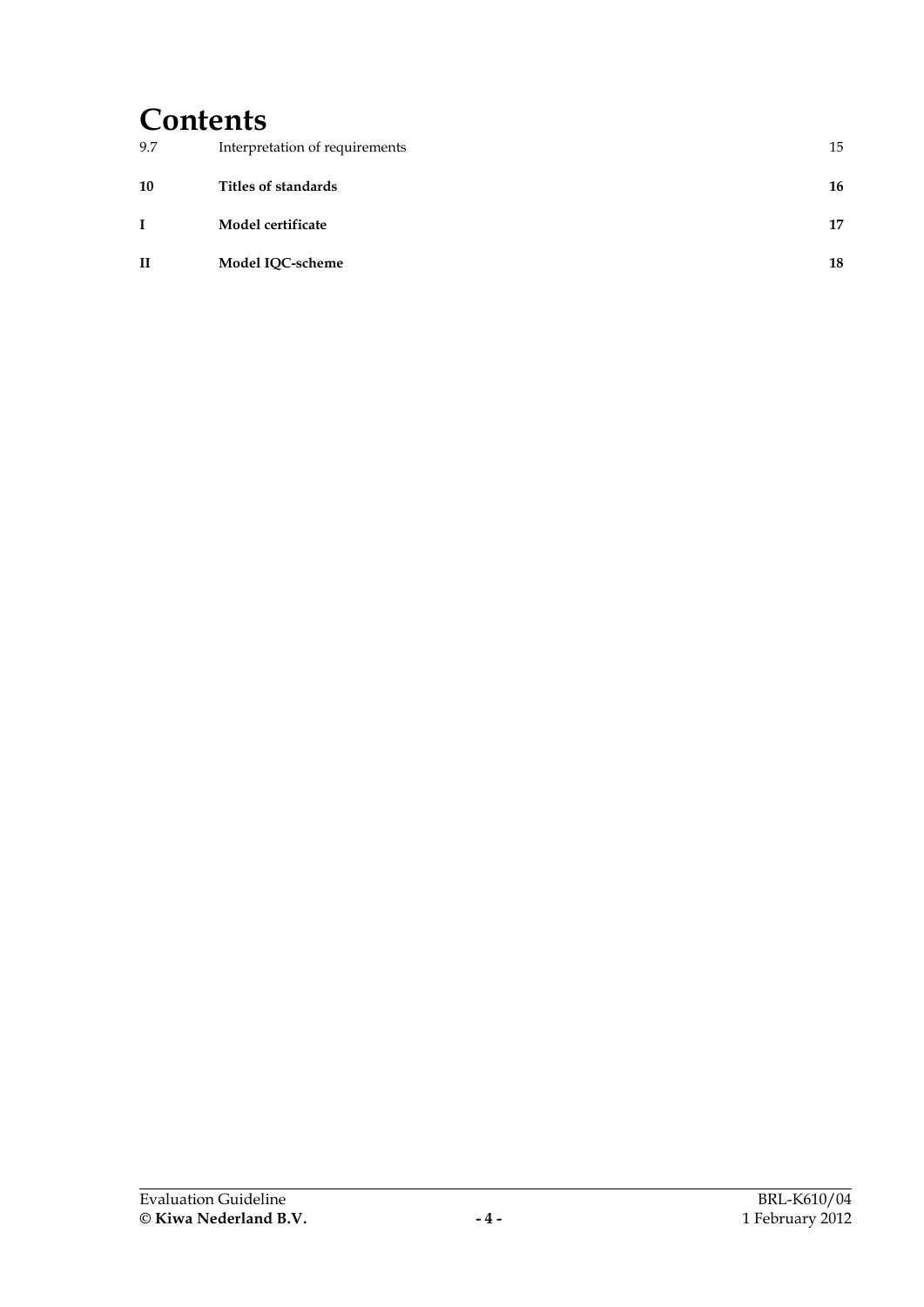# **Contents**

| 9.7          | Interpretation of requirements | 15 |
|--------------|--------------------------------|----|
| 10           | Titles of standards            | 16 |
|              | Model certificate              | 17 |
| $\mathbf{I}$ | Model IQC-scheme               | 18 |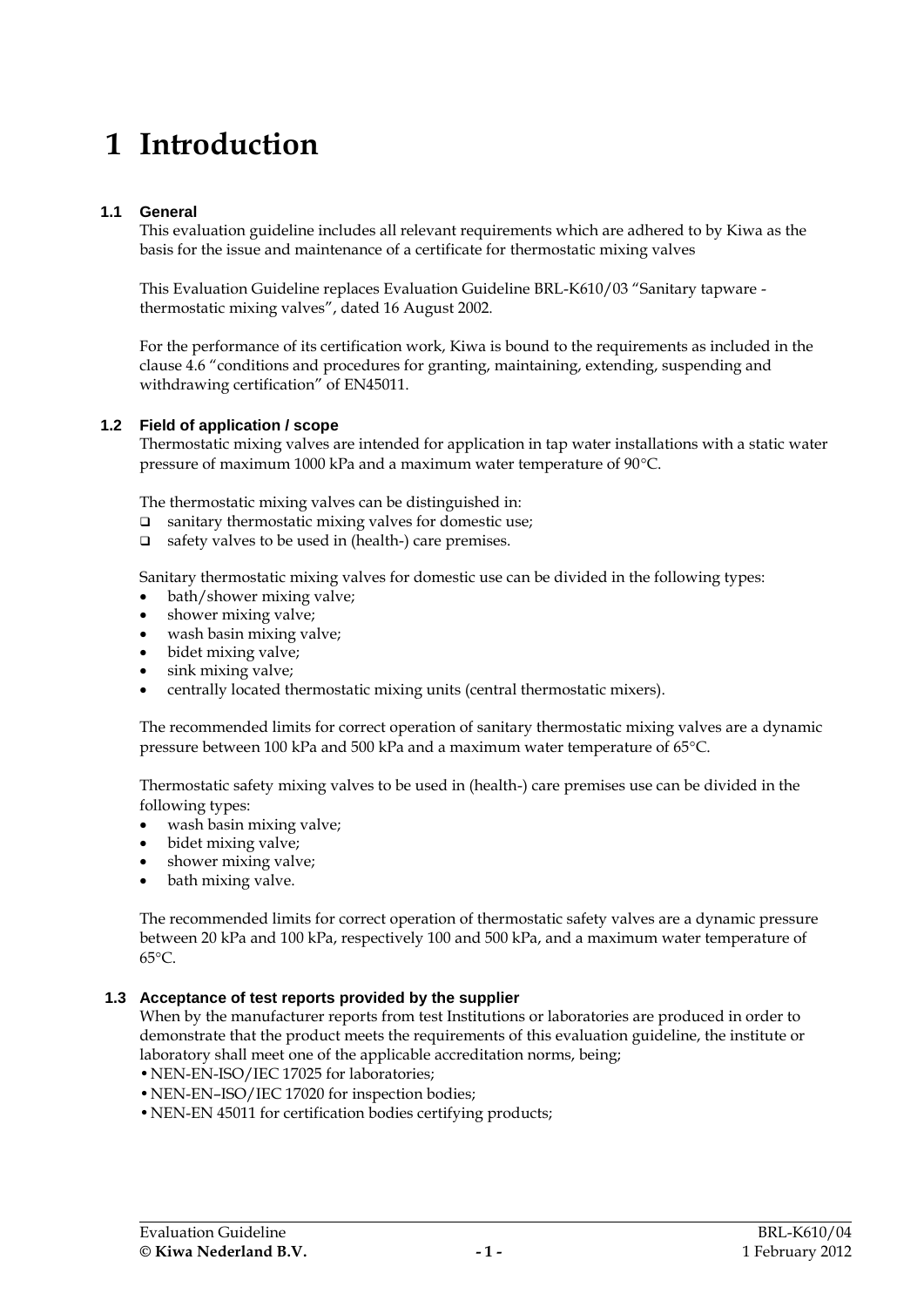# **1 Introduction**

# **1.1 General**

This evaluation guideline includes all relevant requirements which are adhered to by Kiwa as the basis for the issue and maintenance of a certificate for thermostatic mixing valves

This Evaluation Guideline replaces Evaluation Guideline BRL-K610/03 "Sanitary tapware thermostatic mixing valves", dated 16 August 2002.

For the performance of its certification work, Kiwa is bound to the requirements as included in the clause 4.6 "conditions and procedures for granting, maintaining, extending, suspending and withdrawing certification" of EN45011.

### **1.2 Field of application / scope**

Thermostatic mixing valves are intended for application in tap water installations with a static water pressure of maximum 1000 kPa and a maximum water temperature of 90°C.

The thermostatic mixing valves can be distinguished in:

- $\Box$  sanitary thermostatic mixing valves for domestic use;
- $\Box$  safety valves to be used in (health-) care premises.

Sanitary thermostatic mixing valves for domestic use can be divided in the following types:

- bath/shower mixing valve;
- shower mixing valve;
- wash basin mixing valve;<br>• bidet mixing valve:
- bidet mixing valve;
- sink mixing valve;
- centrally located thermostatic mixing units (central thermostatic mixers).

The recommended limits for correct operation of sanitary thermostatic mixing valves are a dynamic pressure between 100 kPa and 500 kPa and a maximum water temperature of 65°C.

Thermostatic safety mixing valves to be used in (health-) care premises use can be divided in the following types:

- wash basin mixing valve;<br>• bidet mixing valve;
- bidet mixing valve;
- shower mixing valve;
- bath mixing valve.

The recommended limits for correct operation of thermostatic safety valves are a dynamic pressure between 20 kPa and 100 kPa, respectively 100 and 500 kPa, and a maximum water temperature of 65°C.

#### **1.3 Acceptance of test reports provided by the supplier**

When by the manufacturer reports from test Institutions or laboratories are produced in order to demonstrate that the product meets the requirements of this evaluation guideline, the institute or laboratory shall meet one of the applicable accreditation norms, being;

- •NEN-EN-ISO/IEC 17025 for laboratories;
- •NEN-EN–ISO/IEC 17020 for inspection bodies;
- •NEN-EN 45011 for certification bodies certifying products;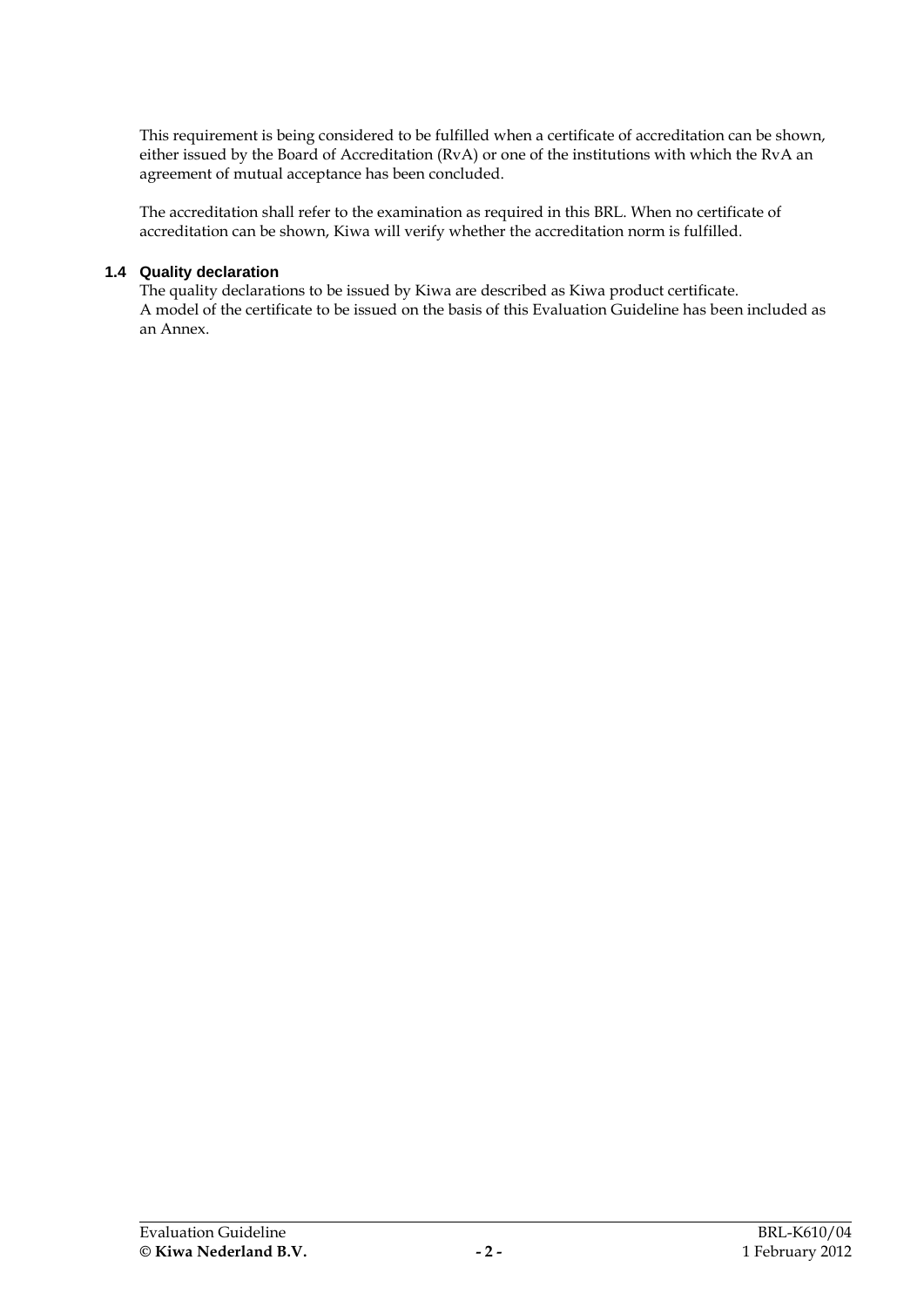This requirement is being considered to be fulfilled when a certificate of accreditation can be shown, either issued by the Board of Accreditation (RvA) or one of the institutions with which the RvA an agreement of mutual acceptance has been concluded.

The accreditation shall refer to the examination as required in this BRL. When no certificate of accreditation can be shown, Kiwa will verify whether the accreditation norm is fulfilled.

#### **1.4 Quality declaration**

The quality declarations to be issued by Kiwa are described as Kiwa product certificate. A model of the certificate to be issued on the basis of this Evaluation Guideline has been included as an Annex.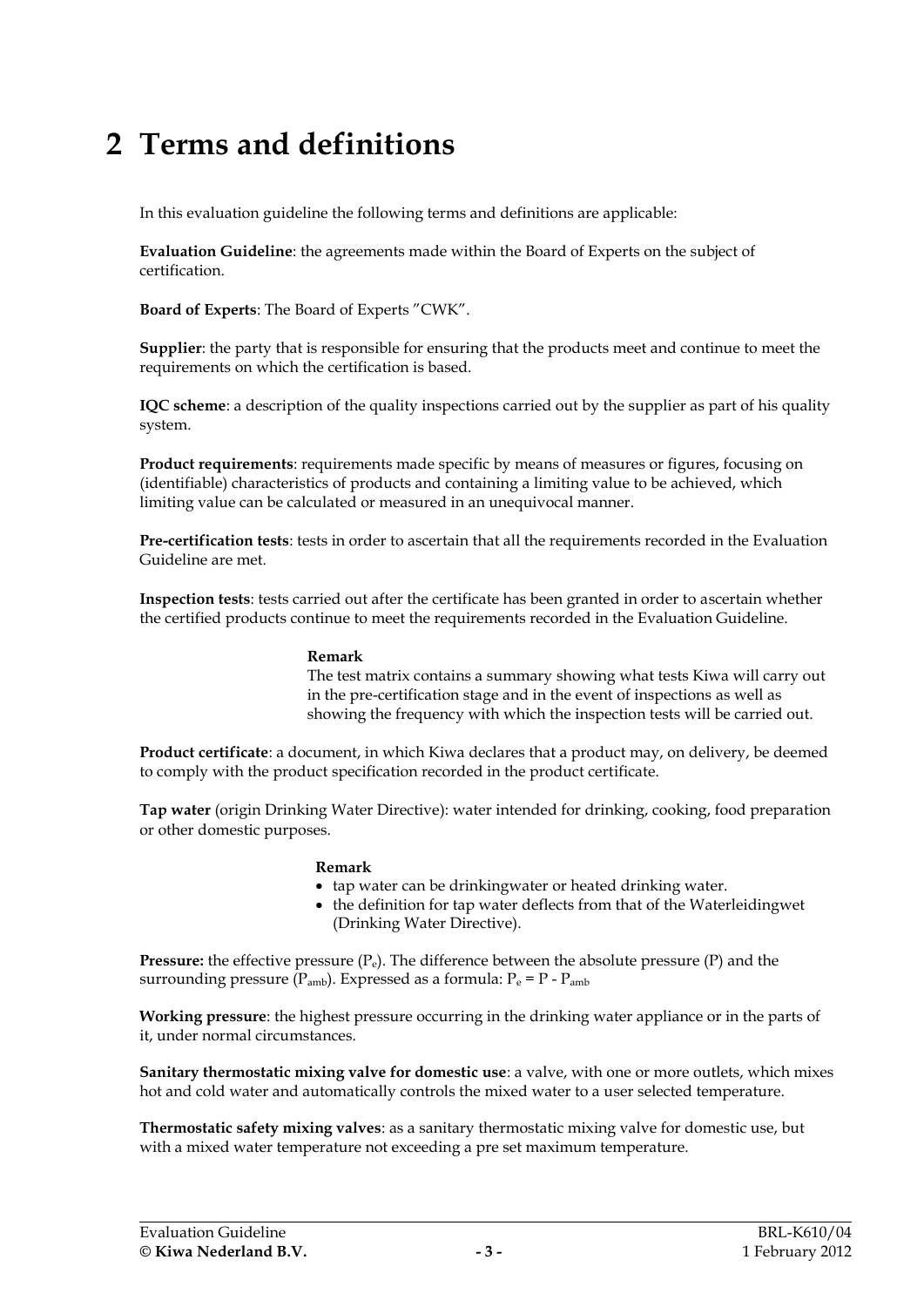# **2 Terms and definitions**

In this evaluation guideline the following terms and definitions are applicable:

**Evaluation Guideline**: the agreements made within the Board of Experts on the subject of certification.

**Board of Experts**: The Board of Experts "CWK".

**Supplier**: the party that is responsible for ensuring that the products meet and continue to meet the requirements on which the certification is based.

**IQC scheme**: a description of the quality inspections carried out by the supplier as part of his quality system.

**Product requirements**: requirements made specific by means of measures or figures, focusing on (identifiable) characteristics of products and containing a limiting value to be achieved, which limiting value can be calculated or measured in an unequivocal manner.

**Pre-certification tests**: tests in order to ascertain that all the requirements recorded in the Evaluation Guideline are met.

**Inspection tests**: tests carried out after the certificate has been granted in order to ascertain whether the certified products continue to meet the requirements recorded in the Evaluation Guideline.

#### **Remark**

The test matrix contains a summary showing what tests Kiwa will carry out in the pre-certification stage and in the event of inspections as well as showing the frequency with which the inspection tests will be carried out.

**Product certificate**: a document, in which Kiwa declares that a product may, on delivery, be deemed to comply with the product specification recorded in the product certificate.

**Tap water** (origin Drinking Water Directive): water intended for drinking, cooking, food preparation or other domestic purposes.

#### **Remark**

- tap water can be drinkingwater or heated drinking water.
- the definition for tap water deflects from that of the Waterleidingwet (Drinking Water Directive).

**Pressure:** the effective pressure  $(P_e)$ . The difference between the absolute pressure  $(P)$  and the surrounding pressure ( $P_{amb}$ ). Expressed as a formula:  $P_e = P - P_{amb}$ 

**Working pressure**: the highest pressure occurring in the drinking water appliance or in the parts of it, under normal circumstances.

**Sanitary thermostatic mixing valve for domestic use**: a valve, with one or more outlets, which mixes hot and cold water and automatically controls the mixed water to a user selected temperature.

**Thermostatic safety mixing valves**: as a sanitary thermostatic mixing valve for domestic use, but with a mixed water temperature not exceeding a pre set maximum temperature.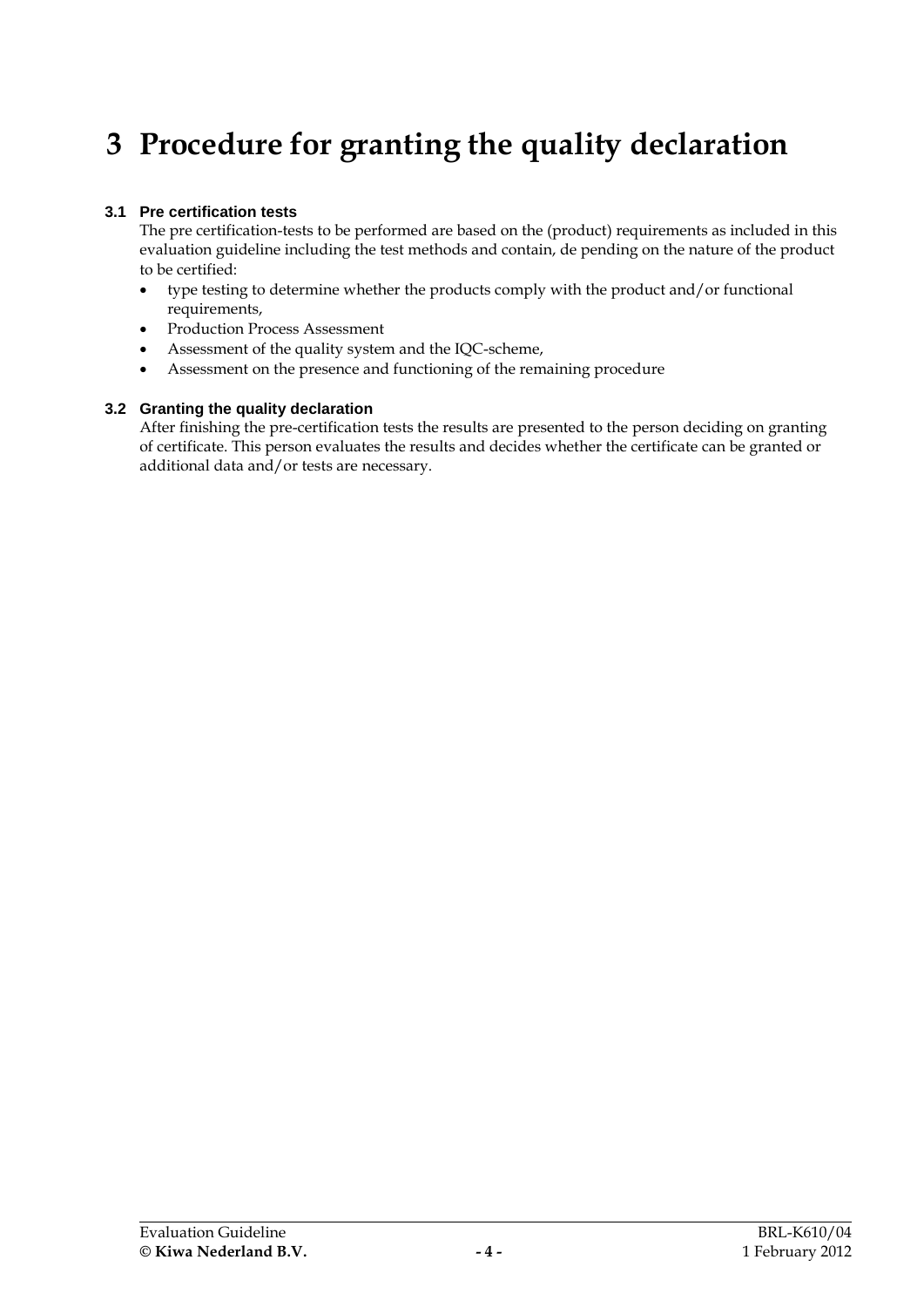# **3 Procedure for granting the quality declaration**

# **3.1 Pre certification tests**

The pre certification-tests to be performed are based on the (product) requirements as included in this evaluation guideline including the test methods and contain, de pending on the nature of the product to be certified:

- type testing to determine whether the products comply with the product and/or functional requirements,
- Production Process Assessment
- Assessment of the quality system and the IQC-scheme,
- Assessment on the presence and functioning of the remaining procedure

### **3.2 Granting the quality declaration**

After finishing the pre-certification tests the results are presented to the person deciding on granting of certificate. This person evaluates the results and decides whether the certificate can be granted or additional data and/or tests are necessary.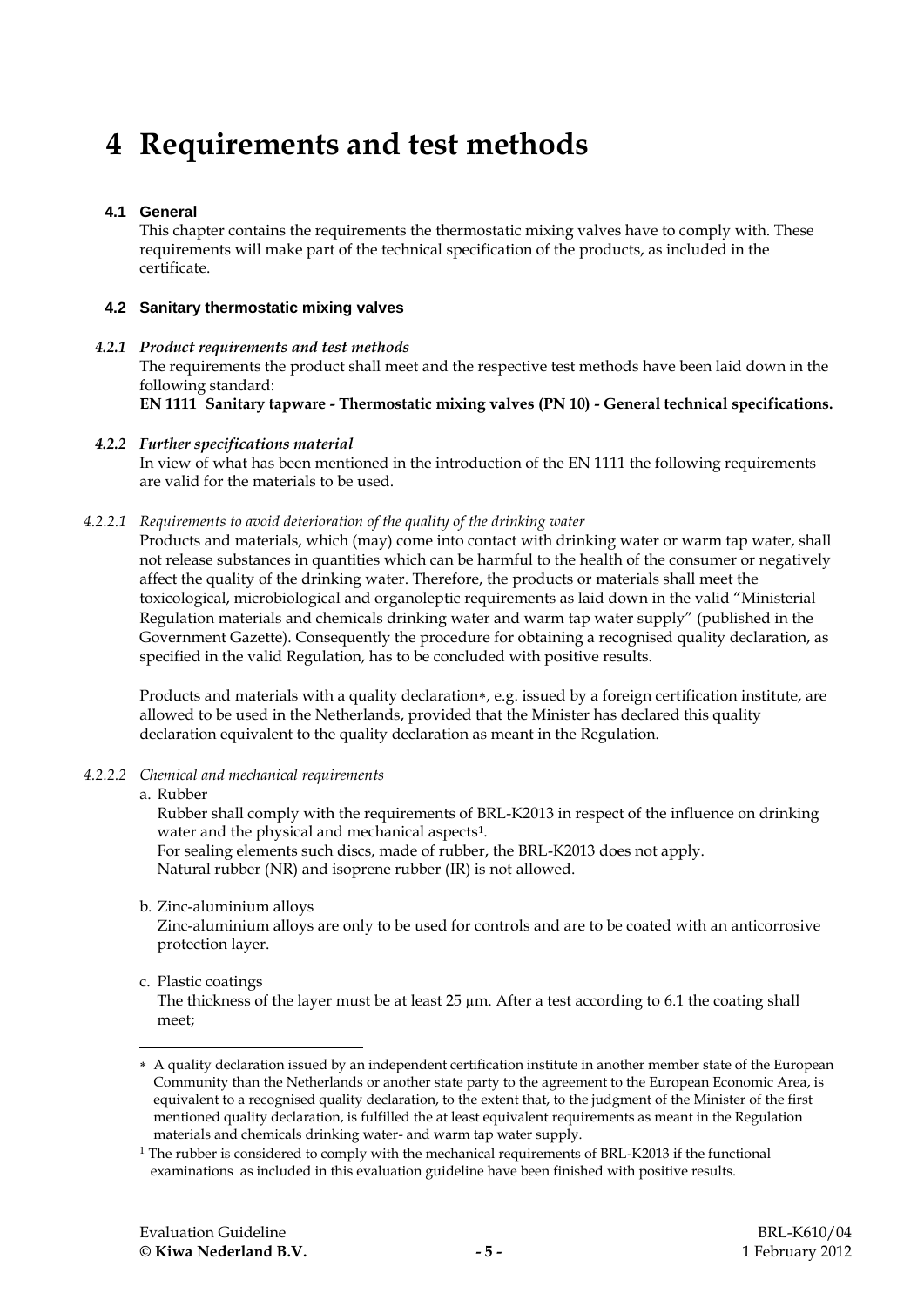# **4 Requirements and test methods**

# **4.1 General**

This chapter contains the requirements the thermostatic mixing valves have to comply with. These requirements will make part of the technical specification of the products, as included in the certificate.

### <span id="page-8-2"></span>**4.2 Sanitary thermostatic mixing valves**

#### *4.2.1 Product requirements and test methods* The requirements the product shall meet and the respective test methods have been laid down in the following standard: **EN 1111 Sanitary tapware - Thermostatic mixing valves (PN 10) - General technical specifications.**

#### *4.2.2 Further specifications material*

In view of what has been mentioned in the introduction of the EN 1111 the following requirements are valid for the materials to be used.

### *4.2.2.1 Requirements to avoid deterioration of the quality of the drinking water*

<span id="page-8-0"></span>Products and materials, which (may) come into contact with drinking water or warm tap water, shall not release substances in quantities which can be harmful to the health of the consumer or negatively affect the quality of the drinking water. Therefore, the products or materials shall meet the toxicological, microbiological and organoleptic requirements as laid down in the valid "Ministerial Regulation materials and chemicals drinking water and warm tap water supply" (published in the Government Gazette). Consequently the procedure for obtaining a recognised quality declaration, as specified in the valid Regulation, has to be concluded with positive results.

Products and materials with a quality declaration\*, e.g. issued by a foreign certification institute, are allowed to be used in the Netherlands, provided that the Minister has declared this quality declaration equivalent to the quality declaration as meant in the Regulation.

#### *4.2.2.2 Chemical and mechanical requirements*

# <span id="page-8-1"></span>a. Rubber

Rubber shall comply with the requirements of BRL-K2013 in respect of the influence on drinking water and the physical and mechanical aspects<sup>1</sup>.

For sealing elements such discs, made of rubber, the BRL-K2013 does not apply. Natural rubber (NR) and isoprene rubber (IR) is not allowed.

b. Zinc-aluminium alloys

Zinc-aluminium alloys are only to be used for controls and are to be coated with an anticorrosive protection layer.

# c. Plastic coatings

The thickness of the layer must be at least  $25 \mu m$ . After a test according to [6.1](#page-13-0) the coating shall meet;

<sup>-</sup> A quality declaration issued by an independent certification institute in another member state of the European Community than the Netherlands or another state party to the agreement to the European Economic Area, is equivalent to a recognised quality declaration, to the extent that, to the judgment of the Minister of the first mentioned quality declaration, is fulfilled the at least equivalent requirements as meant in the Regulation materials and chemicals drinking water- and warm tap water supply.

<sup>&</sup>lt;sup>1</sup> The rubber is considered to comply with the mechanical requirements of BRL-K2013 if the functional examinations as included in this evaluation guideline have been finished with positive results.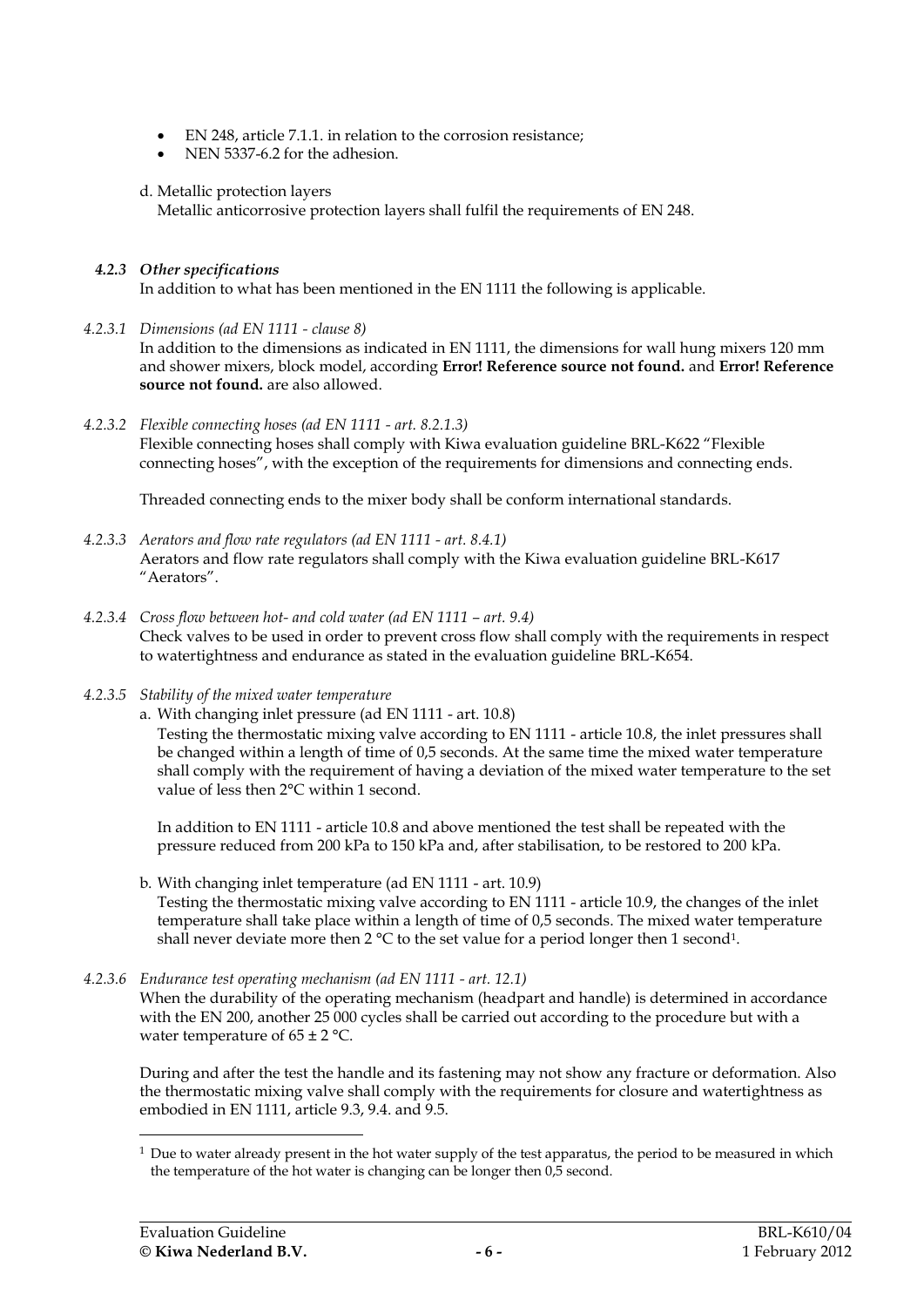- EN 248, article 7.1.1. in relation to the corrosion resistance;
- NEN 5337-6.2 for the adhesion.

# d. Metallic protection layers

Metallic anticorrosive protection layers shall fulfil the requirements of EN 248.

# *4.2.3 Other specifications*

In addition to what has been mentioned in the EN 1111 the following is applicable.

*4.2.3.1 Dimensions (ad EN 1111 - clause 8)*

In addition to the dimensions as indicated in EN 1111, the dimensions for wall hung mixers 120 mm and shower mixers, block model, according **Error! Reference source not found.** and **Error! Reference source not found.** are also allowed.

# *4.2.3.2 Flexible connecting hoses (ad EN 1111 - art. 8.2.1.3)*

Flexible connecting hoses shall comply with Kiwa evaluation guideline BRL-K622 "Flexible connecting hoses", with the exception of the requirements for dimensions and connecting ends.

Threaded connecting ends to the mixer body shall be conform international standards.

- *4.2.3.3 Aerators and flow rate regulators (ad EN 1111 - art. 8.4.1)* Aerators and flow rate regulators shall comply with the Kiwa evaluation guideline BRL-K617 "Aerators".
- *4.2.3.4 Cross flow between hot- and cold water (ad EN 1111 – art. 9.4)* Check valves to be used in order to prevent cross flow shall comply with the requirements in respect to watertightness and endurance as stated in the evaluation guideline BRL-K654.
- <span id="page-9-0"></span>*4.2.3.5 Stability of the mixed water temperature*
	- a. With changing inlet pressure (ad EN 1111 art. 10.8)

Testing the thermostatic mixing valve according to EN 1111 - article 10.8, the inlet pressures shall be changed within a length of time of 0,5 seconds. At the same time the mixed water temperature shall comply with the requirement of having a deviation of the mixed water temperature to the set value of less then 2°C within 1 second.

In addition to EN 1111 - article 10.8 and above mentioned the test shall be repeated with the pressure reduced from 200 kPa to 150 kPa and, after stabilisation, to be restored to 200 kPa.

b. With changing inlet temperature (ad EN 1111 - art. 10.9) Testing the thermostatic mixing valve according to EN 1111 - article 10.9, the changes of the inlet temperature shall take place within a length of time of 0,5 seconds. The mixed water temperature

shall never deviate more then 2 °C to the set value for a period longer then 1 second $^1$ .

# *4.2.3.6 Endurance test operating mechanism (ad EN 1111 - art. 12.1)*

When the durability of the operating mechanism (headpart and handle) is determined in accordance with the EN 200, another 25 000 cycles shall be carried out according to the procedure but with a water temperature of  $65 \pm 2$  °C.

During and after the test the handle and its fastening may not show any fracture or deformation. Also the thermostatic mixing valve shall comply with the requirements for closure and watertightness as embodied in EN 1111, article 9.3, 9.4. and 9.5.

-

 $1$  Due to water already present in the hot water supply of the test apparatus, the period to be measured in which the temperature of the hot water is changing can be longer then 0,5 second.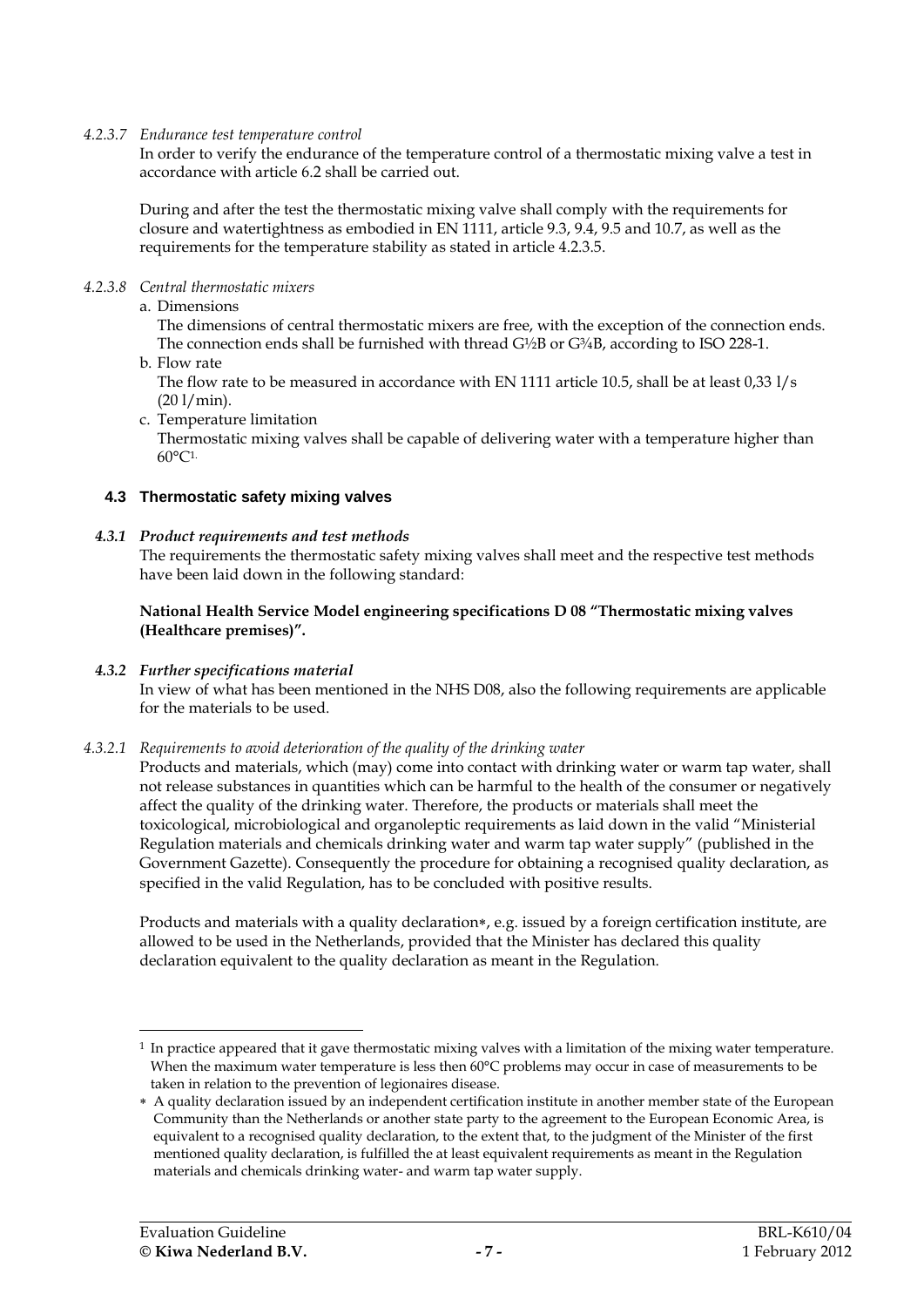### *4.2.3.7 Endurance test temperature control*

In order to verify the endurance of the temperature control of a thermostatic mixing valve a test in accordance with article [6.2](#page-13-1) shall be carried out.

During and after the test the thermostatic mixing valve shall comply with the requirements for closure and watertightness as embodied in EN 1111, article 9.3, 9.4, 9.5 and 10.7, as well as the requirements for the temperature stability as stated in article [4.2.3.5.](#page-9-0)

### *4.2.3.8 Central thermostatic mixers*

### a. Dimensions

The dimensions of central thermostatic mixers are free, with the exception of the connection ends. The connection ends shall be furnished with thread  $G\frac{1}{2}B$  or  $G\frac{3}{4}B$ , according to ISO 228-1.

b. Flow rate

The flow rate to be measured in accordance with EN 1111 article 10.5, shall be at least 0,33 l/s (20 l/min).

c. Temperature limitation

Thermostatic mixing valves shall be capable of delivering water with a temperature higher than 60°C1.

### <span id="page-10-1"></span>**4.3 Thermostatic safety mixing valves**

### *4.3.1 Product requirements and test methods*

The requirements the thermostatic safety mixing valves shall meet and the respective test methods have been laid down in the following standard:

### **National Health Service Model engineering specifications D 08 "Thermostatic mixing valves (Healthcare premises)".**

# *4.3.2 Further specifications material*

<span id="page-10-0"></span>In view of what has been mentioned in the NHS D08, also the following requirements are applicable for the materials to be used.

#### *4.3.2.1 Requirements to avoid deterioration of the quality of the drinking water*

Products and materials, which (may) come into contact with drinking water or warm tap water, shall not release substances in quantities which can be harmful to the health of the consumer or negatively affect the quality of the drinking water. Therefore, the products or materials shall meet the toxicological, microbiological and organoleptic requirements as laid down in the valid "Ministerial Regulation materials and chemicals drinking water and warm tap water supply" (published in the Government Gazette). Consequently the procedure for obtaining a recognised quality declaration, as specified in the valid Regulation, has to be concluded with positive results.

Products and materials with a quality declaration\*, e.g. issued by a foreign certification institute, are allowed to be used in the Netherlands, provided that the Minister has declared this quality declaration equivalent to the quality declaration as meant in the Regulation.

-

<sup>&</sup>lt;sup>1</sup> In practice appeared that it gave thermostatic mixing valves with a limitation of the mixing water temperature. When the maximum water temperature is less then 60°C problems may occur in case of measurements to be taken in relation to the prevention of legionaires disease.

A quality declaration issued by an independent certification institute in another member state of the European Community than the Netherlands or another state party to the agreement to the European Economic Area, is equivalent to a recognised quality declaration, to the extent that, to the judgment of the Minister of the first mentioned quality declaration, is fulfilled the at least equivalent requirements as meant in the Regulation materials and chemicals drinking water- and warm tap water supply.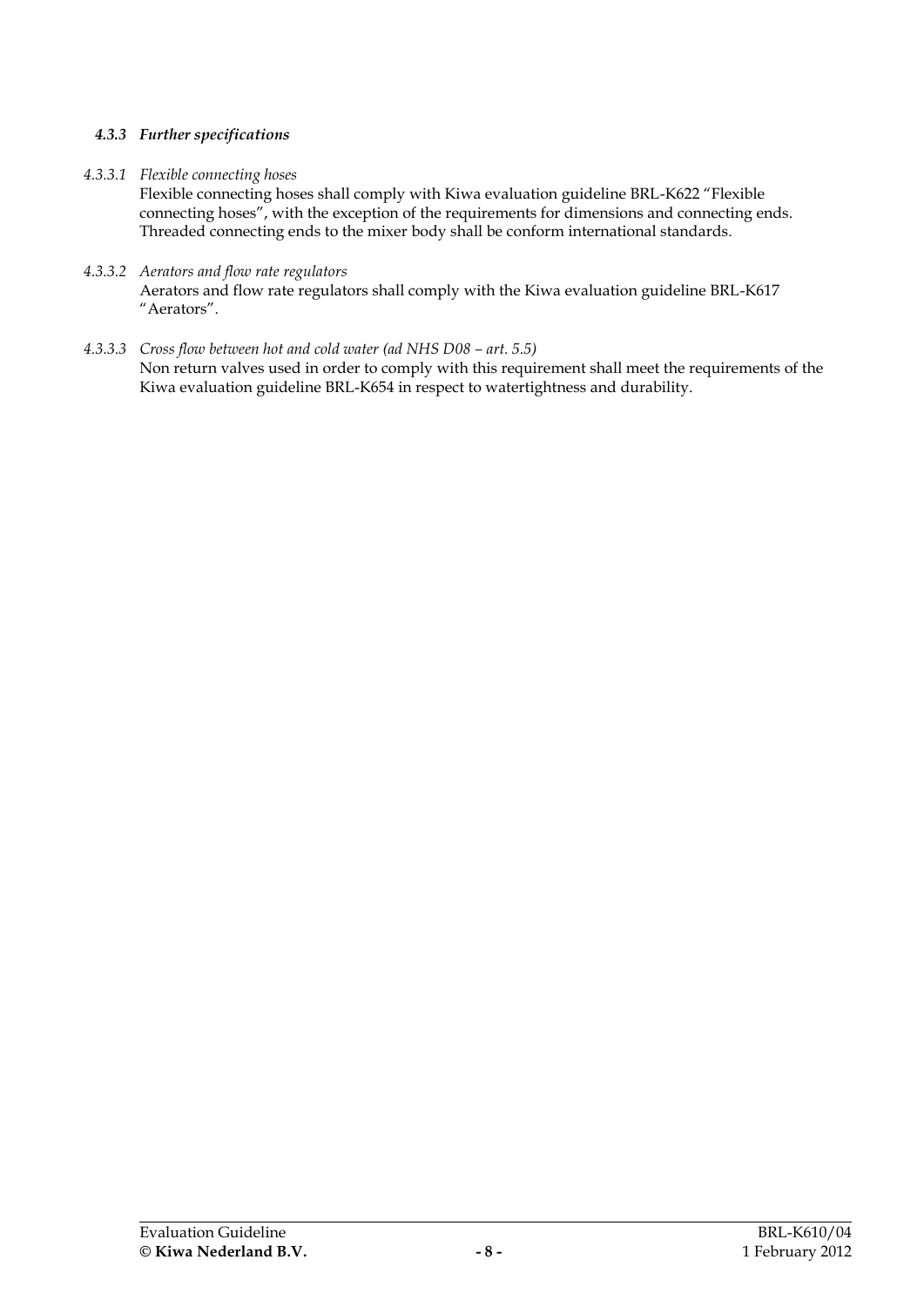# *4.3.3 Further specifications*

# *4.3.3.1 Flexible connecting hoses*

Flexible connecting hoses shall comply with Kiwa evaluation guideline BRL-K622 "Flexible connecting hoses", with the exception of the requirements for dimensions and connecting ends. Threaded connecting ends to the mixer body shall be conform international standards.

- *4.3.3.2 Aerators and flow rate regulators* Aerators and flow rate regulators shall comply with the Kiwa evaluation guideline BRL-K617 "Aerators".
- *4.3.3.3 Cross flow between hot and cold water (ad NHS D08 – art. 5.5)* Non return valves used in order to comply with this requirement shall meet the requirements of the Kiwa evaluation guideline BRL-K654 in respect to watertightness and durability.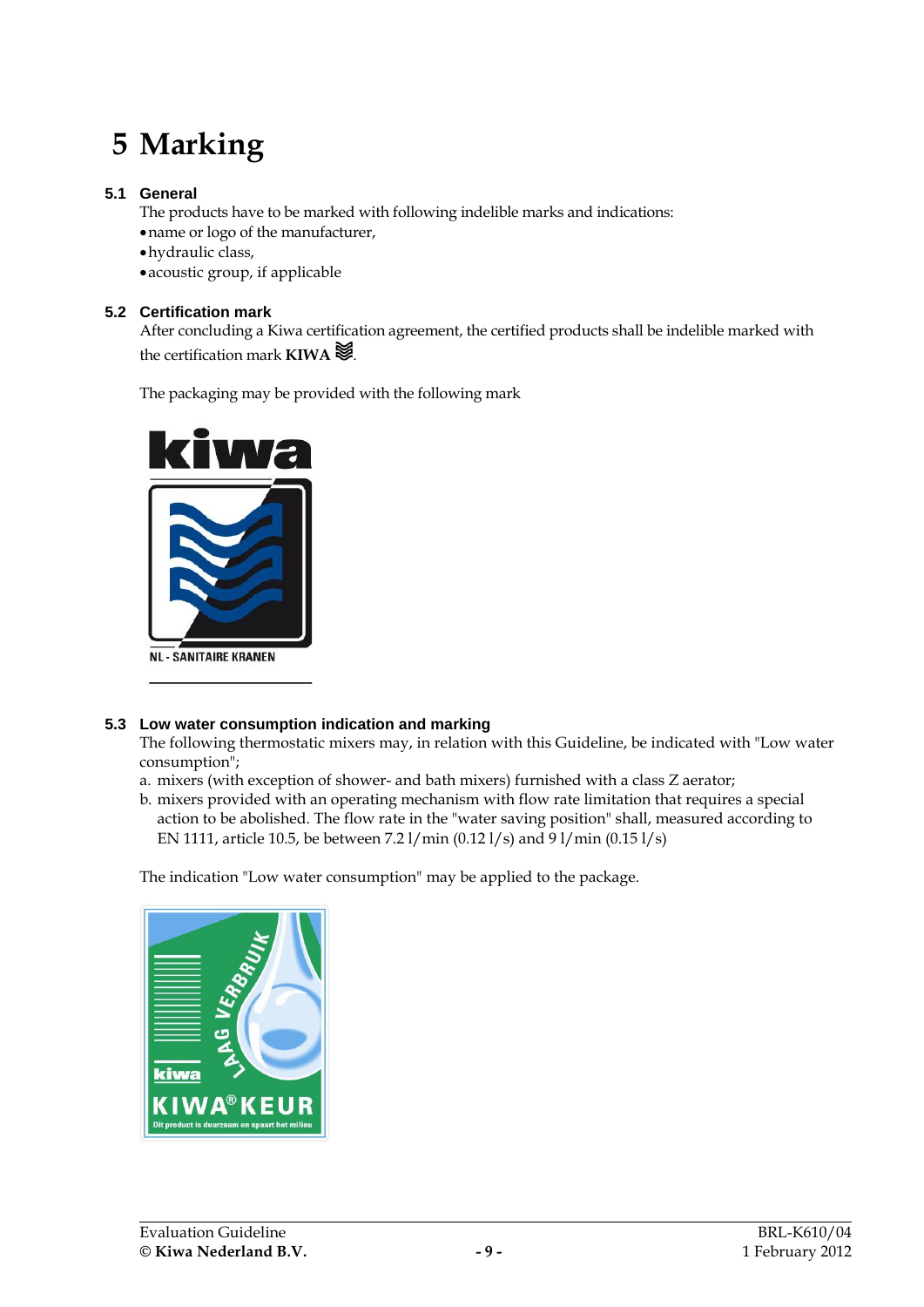# **5 Marking**

# **5.1 General**

The products have to be marked with following indelible marks and indications:

name or logo of the manufacturer,

hydraulic class,

<span id="page-12-0"></span>acoustic group, if applicable

# **5.2 Certification mark**

After concluding a Kiwa certification agreement, the certified products shall be indelible marked with the certification mark **KIWA** .

The packaging may be provided with the following mark



# **5.3 Low water consumption indication and marking**

The following thermostatic mixers may, in relation with this Guideline, be indicated with "Low water consumption";

- a. mixers (with exception of shower- and bath mixers) furnished with a class Z aerator;
- b. mixers provided with an operating mechanism with flow rate limitation that requires a special action to be abolished. The flow rate in the "water saving position" shall, measured according to EN 1111, article 10.5, be between 7.2 l/min (0.12 l/s) and 9 l/min (0.15 l/s)

The indication "Low water consumption" may be applied to the package.

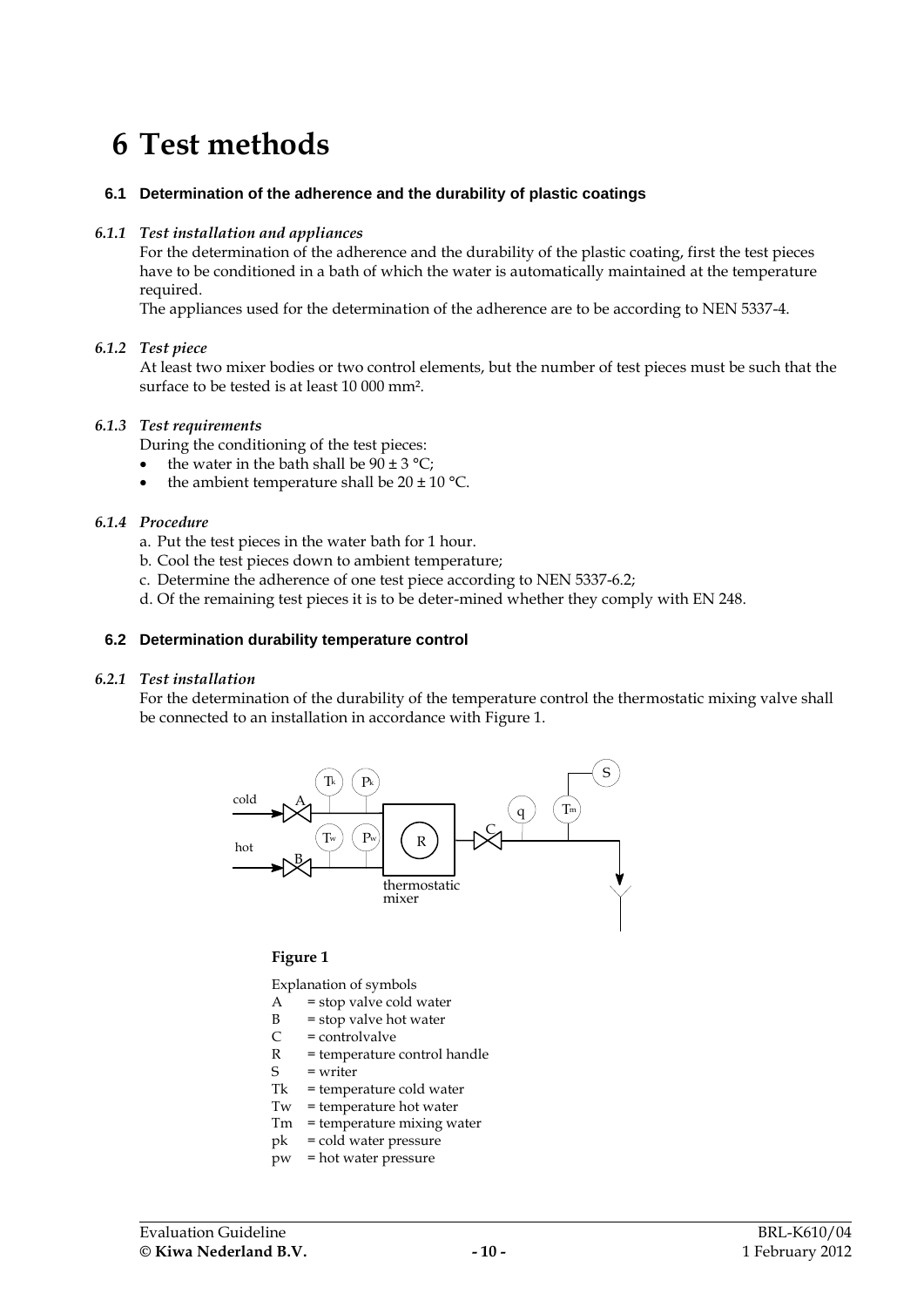# **6 Test methods**

#### <span id="page-13-0"></span>**6.1 Determination of the adherence and the durability of plastic coatings**

#### *6.1.1 Test installation and appliances*

For the determination of the adherence and the durability of the plastic coating, first the test pieces have to be conditioned in a bath of which the water is automatically maintained at the temperature required.

The appliances used for the determination of the adherence are to be according to NEN 5337-4.

#### *6.1.2 Test piece*

At least two mixer bodies or two control elements, but the number of test pieces must be such that the surface to be tested is at least 10 000 mm².

#### *6.1.3 Test requirements*

During the conditioning of the test pieces:

- the water in the bath shall be  $90 \pm 3 \degree C$ ;
- the ambient temperature shall be  $20 \pm 10$  °C.

#### *6.1.4 Procedure*

- a. Put the test pieces in the water bath for 1 hour.
- b. Cool the test pieces down to ambient temperature;
- c. Determine the adherence of one test piece according to NEN 5337-6.2;
- <span id="page-13-1"></span>d. Of the remaining test pieces it is to be deter-mined whether they comply with EN 248.

#### **6.2 Determination durability temperature control**

#### *6.2.1 Test installation*

For the determination of the durability of the temperature control the thermostatic mixing valve shall be connected to an installation in accordance with [Figure 1.](#page-13-2)



#### <span id="page-13-2"></span>**Figure 1**

Explanation of symbols

- $A = stop$  valve cold water
- $B = stop$  valve hot water
- $C =$  controlvalve
- R = temperature control handle
- S = writer
- Tk = temperature cold water
- Tw = temperature hot water
- Tm = temperature mixing water
- pk = cold water pressure
- pw = hot water pressure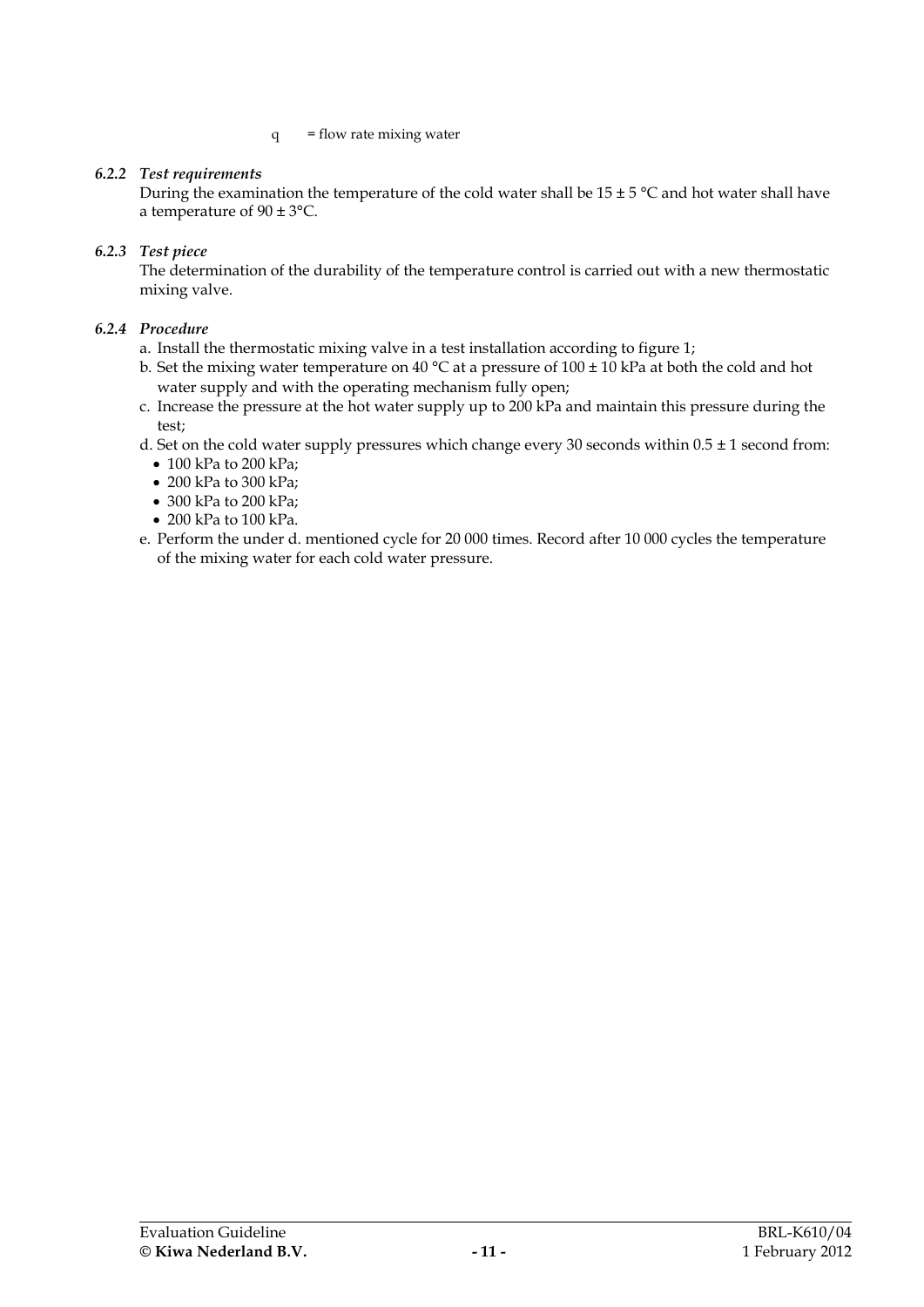#### $q = flow$  rate mixing water

### *6.2.2 Test requirements*

During the examination the temperature of the cold water shall be  $15 \pm 5$  °C and hot water shall have a temperature of 90 ± 3°C.

### *6.2.3 Test piece*

The determination of the durability of the temperature control is carried out with a new thermostatic mixing valve.

# *6.2.4 Procedure*

- a. Install the thermostatic mixing valve in a test installation according to figure 1;
- b. Set the mixing water temperature on 40 °C at a pressure of 100 ± 10 kPa at both the cold and hot water supply and with the operating mechanism fully open;
- c. Increase the pressure at the hot water supply up to 200 kPa and maintain this pressure during the test;
- d. Set on the cold water supply pressures which change every 30 seconds within  $0.5 \pm 1$  second from:
	- 100 kPa to 200 kPa;
	- 200 kPa to 300 kPa;
	- 300 kPa to 200 kPa;
	- 200 kPa to 100 kPa.
- e. Perform the under d. mentioned cycle for 20 000 times. Record after 10 000 cycles the temperature of the mixing water for each cold water pressure.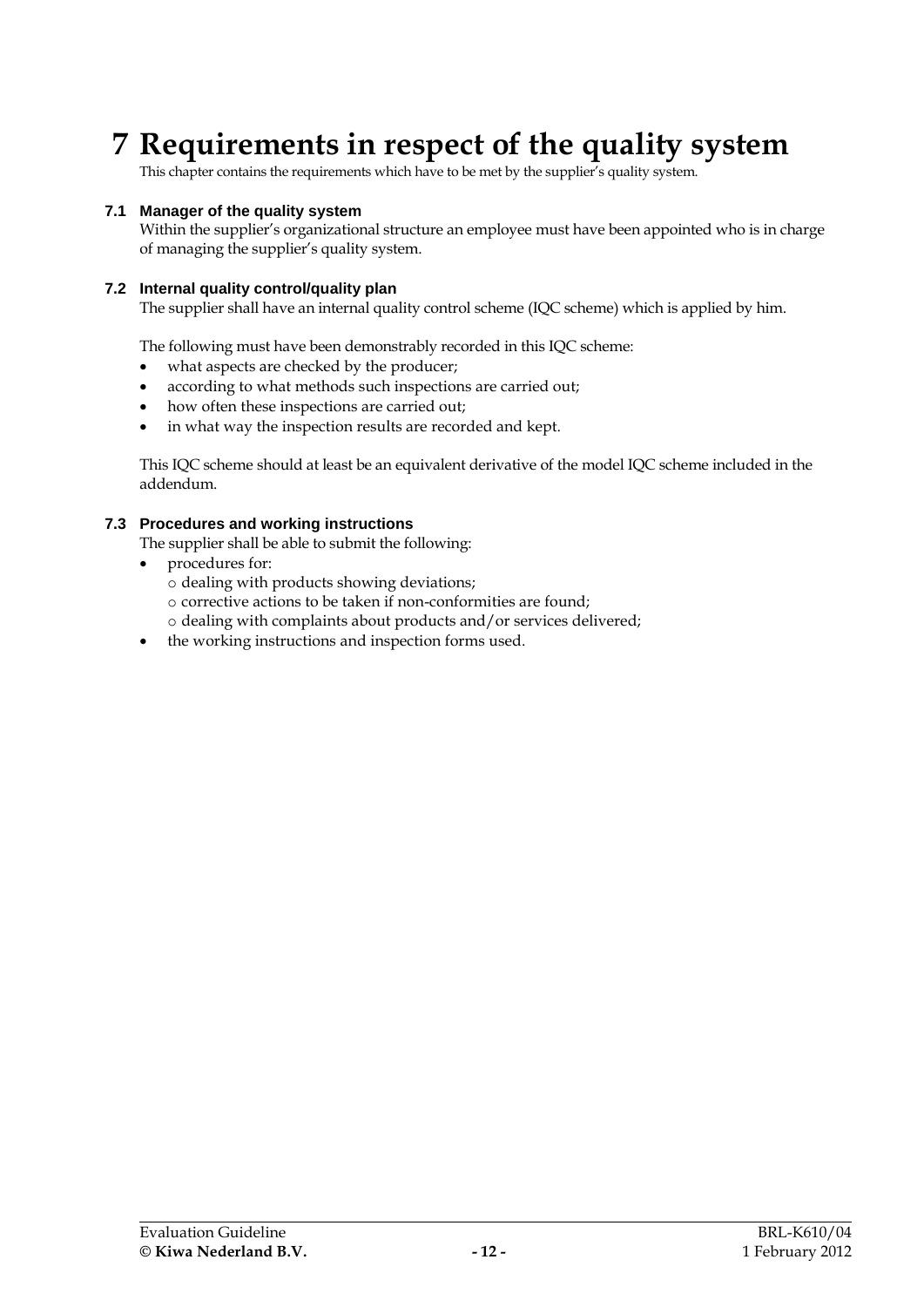# **7 Requirements in respect of the quality system**

This chapter contains the requirements which have to be met by the supplier's quality system.

#### **7.1 Manager of the quality system**

Within the supplier's organizational structure an employee must have been appointed who is in charge of managing the supplier's quality system.

### **7.2 Internal quality control/quality plan**

The supplier shall have an internal quality control scheme (IQC scheme) which is applied by him.

The following must have been demonstrably recorded in this IQC scheme:

- what aspects are checked by the producer;
- according to what methods such inspections are carried out;
- how often these inspections are carried out;
- in what way the inspection results are recorded and kept.

This IQC scheme should at least be an equivalent derivative of the model IQC scheme included in the addendum.

### **7.3 Procedures and working instructions**

The supplier shall be able to submit the following:

- procedures for:
	- o dealing with products showing deviations;
	- o corrective actions to be taken if non-conformities are found;
	- o dealing with complaints about products and/or services delivered;
- the working instructions and inspection forms used.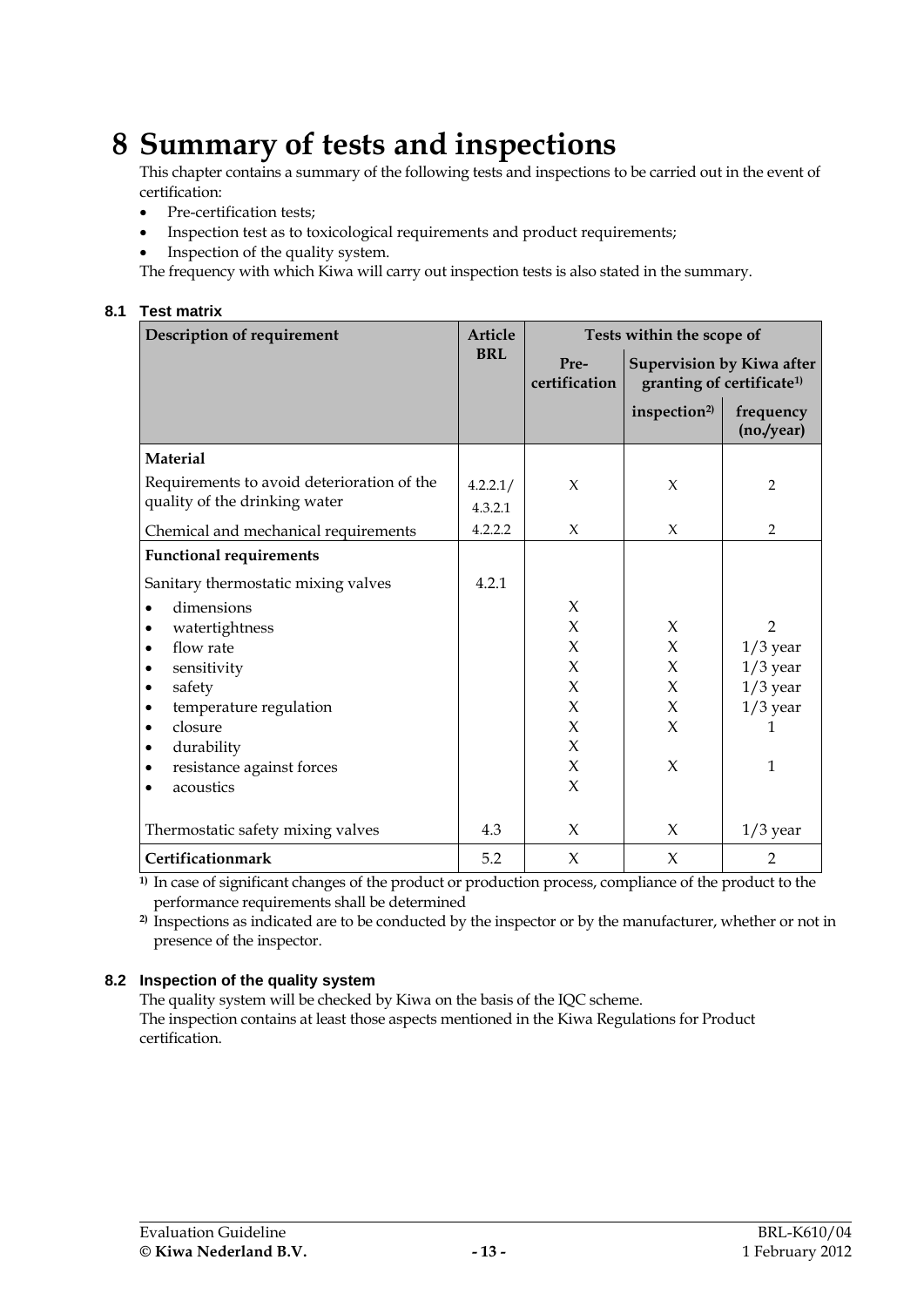# **8 Summary of tests and inspections**

This chapter contains a summary of the following tests and inspections to be carried out in the event of certification:

- Pre-certification tests;
- Inspection test as to toxicological requirements and product requirements;
- Inspection of the quality system.

The frequency with which Kiwa will carry out inspection tests is also stated in the summary.

# **8.1 Test matrix**

| Description of requirement                 | <b>Article</b> | Tests within the scope of                                                                          |                          |                         |
|--------------------------------------------|----------------|----------------------------------------------------------------------------------------------------|--------------------------|-------------------------|
|                                            | <b>BRL</b>     | Pre-<br><b>Supervision by Kiwa after</b><br>certification<br>granting of certificate <sup>1)</sup> |                          |                         |
|                                            |                |                                                                                                    | inspection <sup>2)</sup> | frequency<br>(no./year) |
| <b>Material</b>                            |                |                                                                                                    |                          |                         |
| Requirements to avoid deterioration of the | 4.2.2.1/       | X                                                                                                  | $\chi$                   | 2                       |
| quality of the drinking water              | 4.3.2.1        |                                                                                                    |                          |                         |
| Chemical and mechanical requirements       | 4.2.2.2        | X                                                                                                  | $\chi$                   | $\overline{2}$          |
| <b>Functional requirements</b>             |                |                                                                                                    |                          |                         |
| Sanitary thermostatic mixing valves        | 4.2.1          |                                                                                                    |                          |                         |
| dimensions                                 |                | $\chi$                                                                                             |                          |                         |
| watertightness                             |                | $\chi$                                                                                             | X                        | $\mathcal{P}$           |
| flow rate<br>$\bullet$                     |                | $\chi$                                                                                             | X                        | $1/3$ year              |
| sensitivity                                |                | X                                                                                                  | $\chi$                   | $1/3$ year              |
| safety<br>٠                                |                | X                                                                                                  | $\chi$                   | $1/3$ year              |
| temperature regulation<br>$\bullet$        |                | X                                                                                                  | X                        | $1/3$ year              |
| closure<br>٠                               |                | $\chi$                                                                                             | X                        | 1                       |
| durability<br>٠                            |                | $\chi$                                                                                             |                          |                         |
| resistance against forces                  |                | $\chi$                                                                                             | X                        | $\mathbf{1}$            |
| acoustics                                  |                | $\chi$                                                                                             |                          |                         |
| Thermostatic safety mixing valves          | 4.3            | $\chi$                                                                                             | X                        | $1/3$ year              |
| Certificationmark                          | 5.2            | $\chi$                                                                                             | X                        | $\overline{2}$          |

**1)** In case of significant changes of the product or production process, compliance of the product to the performance requirements shall be determined

**2)** Inspections as indicated are to be conducted by the inspector or by the manufacturer, whether or not in presence of the inspector.

# **8.2 Inspection of the quality system**

The quality system will be checked by Kiwa on the basis of the IQC scheme. The inspection contains at least those aspects mentioned in the Kiwa Regulations for Product certification.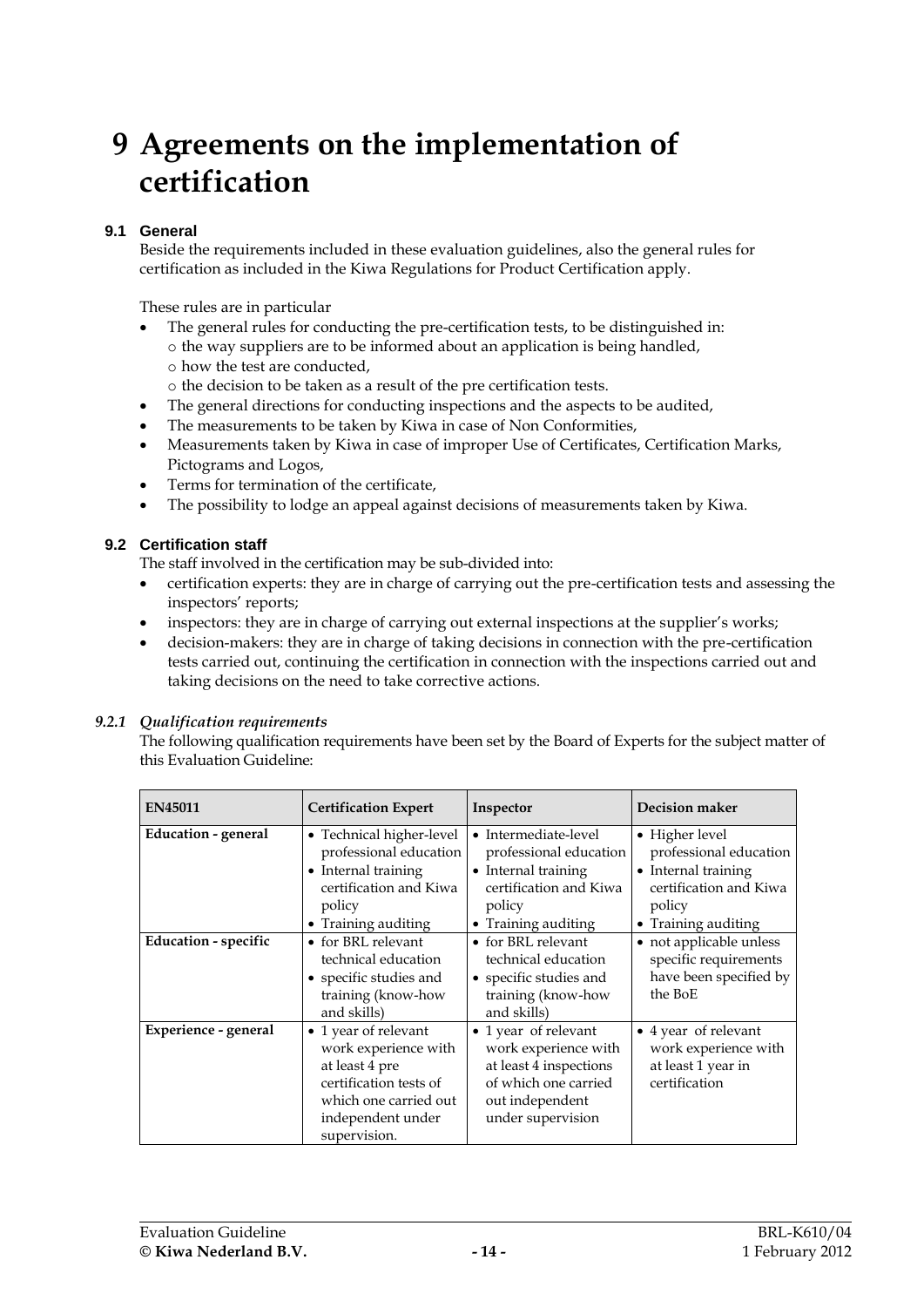# **9 Agreements on the implementation of certification**

# **9.1 General**

Beside the requirements included in these evaluation guidelines, also the general rules for certification as included in the Kiwa Regulations for Product Certification apply.

These rules are in particular

- The general rules for conducting the pre-certification tests, to be distinguished in: o the way suppliers are to be informed about an application is being handled,
	- o how the test are conducted,
	- o the decision to be taken as a result of the pre certification tests.
- The general directions for conducting inspections and the aspects to be audited,
- The measurements to be taken by Kiwa in case of Non Conformities,
- Measurements taken by Kiwa in case of improper Use of Certificates, Certification Marks, Pictograms and Logos,
- Terms for termination of the certificate,
- The possibility to lodge an appeal against decisions of measurements taken by Kiwa.

# **9.2 Certification staff**

The staff involved in the certification may be sub-divided into:

- certification experts: they are in charge of carrying out the pre-certification tests and assessing the inspectors' reports;
- inspectors: they are in charge of carrying out external inspections at the supplier's works;
- decision-makers: they are in charge of taking decisions in connection with the pre-certification tests carried out, continuing the certification in connection with the inspections carried out and taking decisions on the need to take corrective actions.

#### *9.2.1 Qualification requirements*

The following qualification requirements have been set by the Board of Experts for the subject matter of this Evaluation Guideline:

| <b>EN45011</b>              | <b>Certification Expert</b>                                                                                                                            | Inspector                                                                                                                              | <b>Decision maker</b>                                                                                                      |
|-----------------------------|--------------------------------------------------------------------------------------------------------------------------------------------------------|----------------------------------------------------------------------------------------------------------------------------------------|----------------------------------------------------------------------------------------------------------------------------|
| <b>Education - general</b>  | • Technical higher-level<br>professional education<br>• Internal training<br>certification and Kiwa<br>policy<br>• Training auditing                   | • Intermediate-level<br>professional education<br>• Internal training<br>certification and Kiwa<br>policy<br>• Training auditing       | • Higher level<br>professional education<br>• Internal training<br>certification and Kiwa<br>policy<br>• Training auditing |
| <b>Education - specific</b> | • for BRL relevant<br>technical education<br>• specific studies and<br>training (know-how<br>and skills)                                               | • for BRL relevant<br>technical education<br>• specific studies and<br>training (know-how<br>and skills)                               | • not applicable unless<br>specific requirements<br>have been specified by<br>the BoE                                      |
| Experience - general        | • 1 year of relevant<br>work experience with<br>at least 4 pre<br>certification tests of<br>which one carried out<br>independent under<br>supervision. | • 1 year of relevant<br>work experience with<br>at least 4 inspections<br>of which one carried<br>out independent<br>under supervision | • 4 year of relevant<br>work experience with<br>at least 1 year in<br>certification                                        |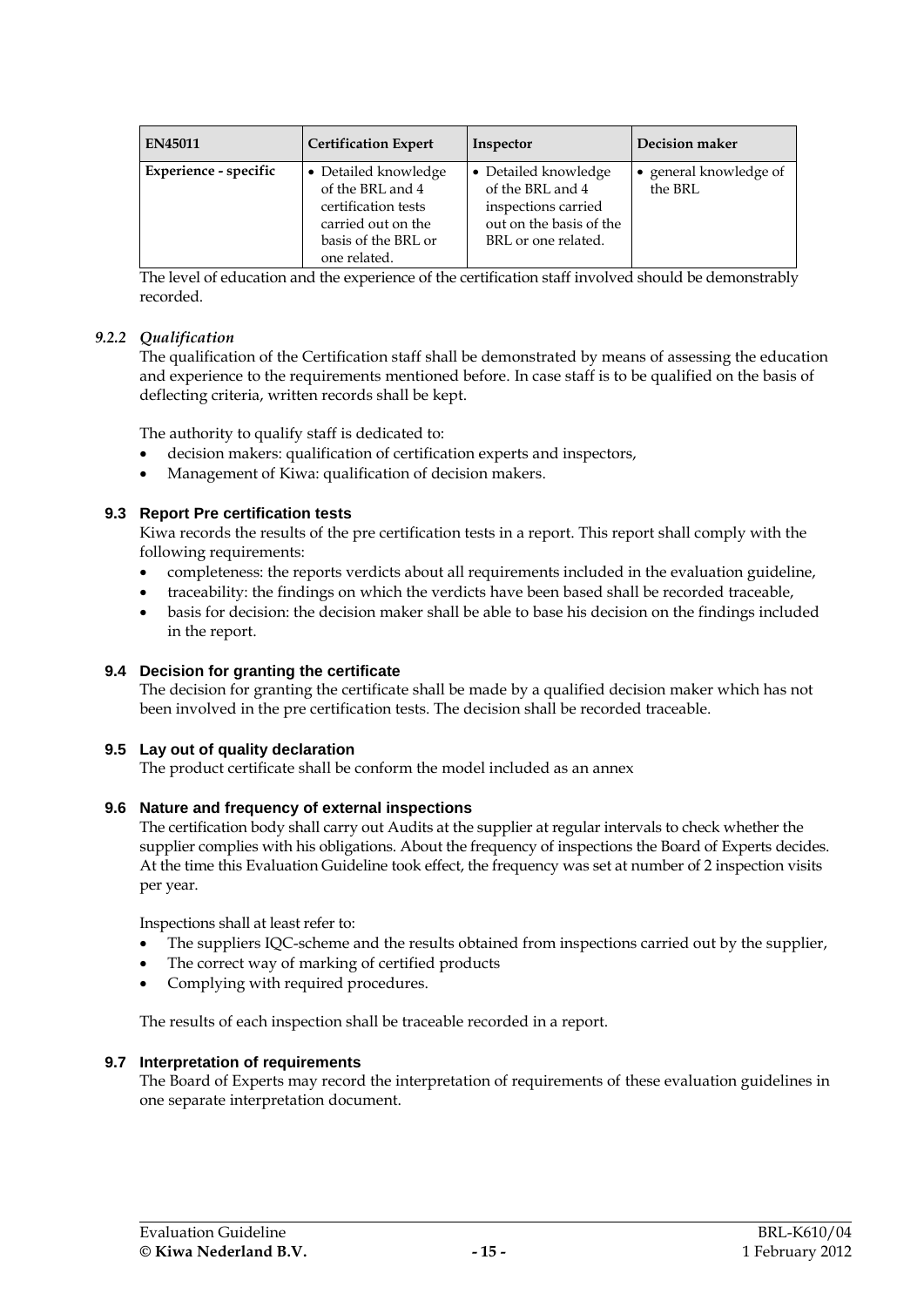| <b>EN45011</b>        | <b>Certification Expert</b>                                                                                                  | Inspector                                                                                                         | Decision maker                  |
|-----------------------|------------------------------------------------------------------------------------------------------------------------------|-------------------------------------------------------------------------------------------------------------------|---------------------------------|
| Experience - specific | • Detailed knowledge<br>of the BRL and 4<br>certification tests<br>carried out on the<br>basis of the BRL or<br>one related. | • Detailed knowledge<br>of the BRL and 4<br>inspections carried<br>out on the basis of the<br>BRL or one related. | general knowledge of<br>the BRL |

The level of education and the experience of the certification staff involved should be demonstrably recorded.

### *9.2.2 Qualification*

The qualification of the Certification staff shall be demonstrated by means of assessing the education and experience to the requirements mentioned before. In case staff is to be qualified on the basis of deflecting criteria, written records shall be kept.

The authority to qualify staff is dedicated to:

- decision makers: qualification of certification experts and inspectors,
- Management of Kiwa: qualification of decision makers.

### **9.3 Report Pre certification tests**

Kiwa records the results of the pre certification tests in a report. This report shall comply with the following requirements:

- completeness: the reports verdicts about all requirements included in the evaluation guideline,
- traceability: the findings on which the verdicts have been based shall be recorded traceable,
- basis for decision: the decision maker shall be able to base his decision on the findings included in the report.

#### **9.4 Decision for granting the certificate**

The decision for granting the certificate shall be made by a qualified decision maker which has not been involved in the pre certification tests. The decision shall be recorded traceable.

#### **9.5 Lay out of quality declaration**

The product certificate shall be conform the model included as an annex

#### **9.6 Nature and frequency of external inspections**

The certification body shall carry out Audits at the supplier at regular intervals to check whether the supplier complies with his obligations. About the frequency of inspections the Board of Experts decides. At the time this Evaluation Guideline took effect, the frequency was set at number of 2 inspection visits per year.

Inspections shall at least refer to:

- The suppliers IQC-scheme and the results obtained from inspections carried out by the supplier,
- The correct way of marking of certified products
- Complying with required procedures.

The results of each inspection shall be traceable recorded in a report.

#### **9.7 Interpretation of requirements**

The Board of Experts may record the interpretation of requirements of these evaluation guidelines in one separate interpretation document.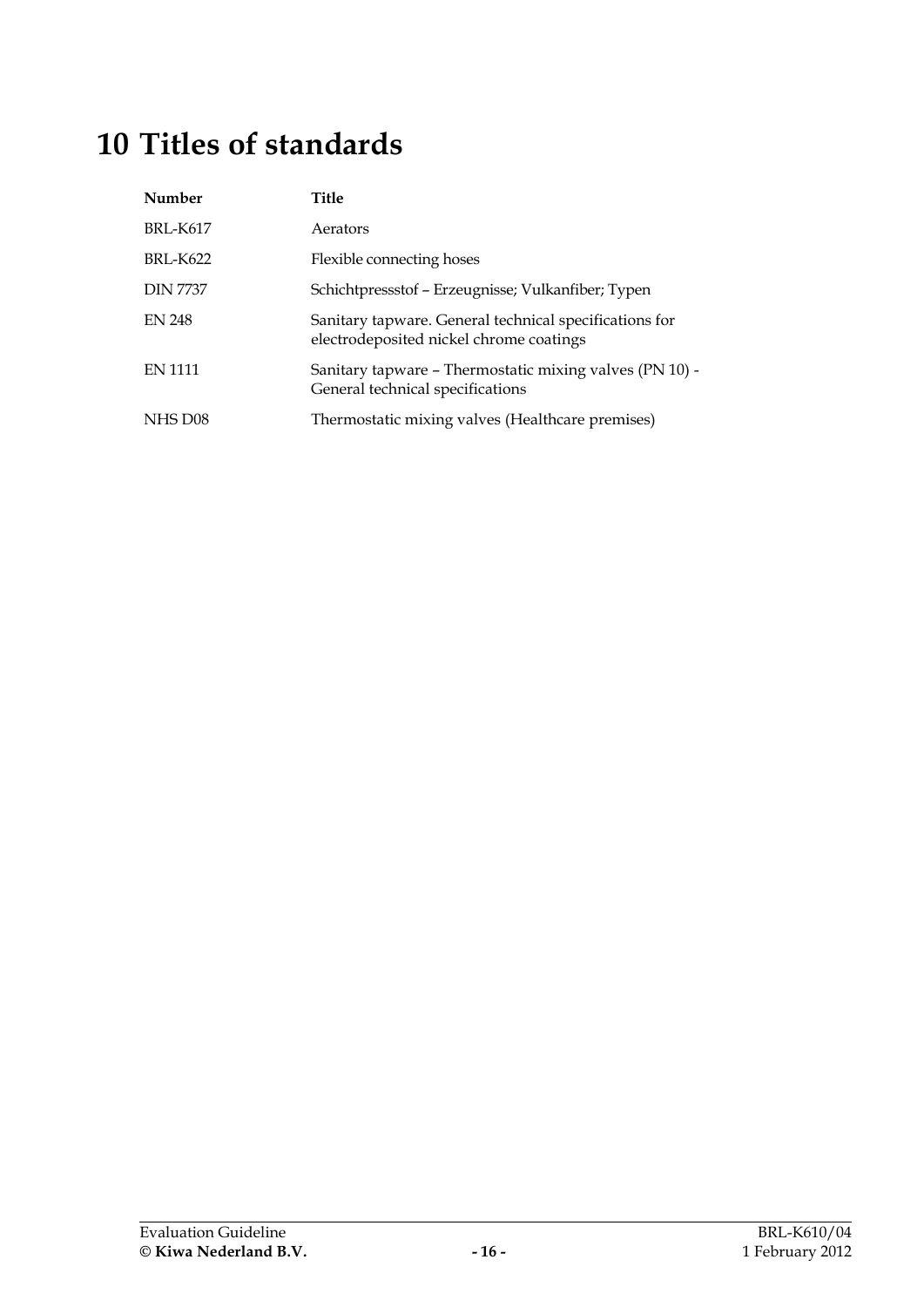# **10 Titles of standards**

| Number          | Title                                                                                             |
|-----------------|---------------------------------------------------------------------------------------------------|
| <b>BRI-K617</b> | Aerators                                                                                          |
| <b>BRL-K622</b> | Flexible connecting hoses                                                                         |
| <b>DIN 7737</b> | Schichtpressstof – Erzeugnisse; Vulkanfiber; Typen                                                |
| <b>EN 248</b>   | Sanitary tapware. General technical specifications for<br>electrodeposited nickel chrome coatings |
| <b>EN 1111</b>  | Sanitary tapware – Thermostatic mixing valves (PN 10) -<br>General technical specifications       |
| NHS D08         | Thermostatic mixing valves (Healthcare premises)                                                  |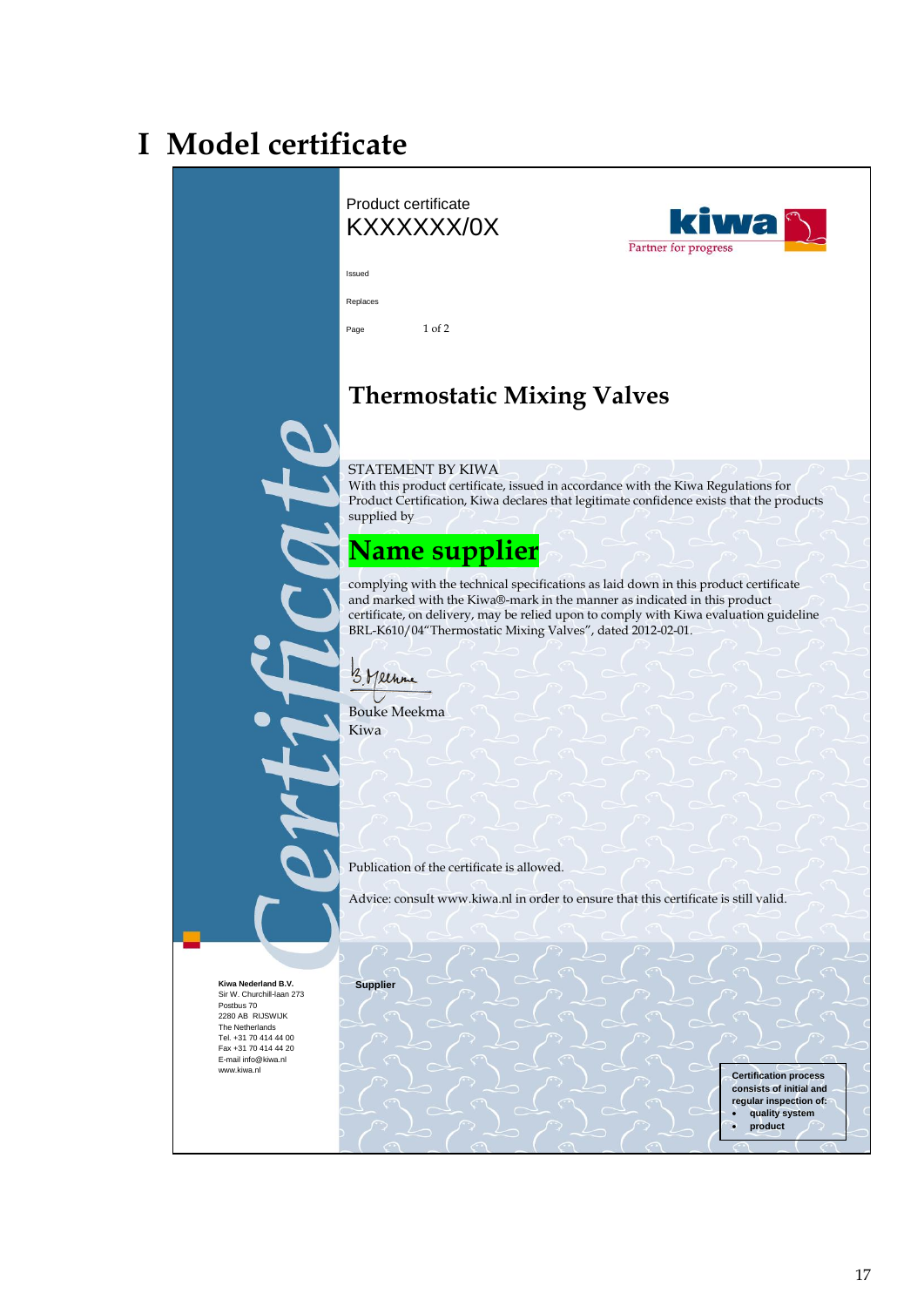# **I Model certificate**